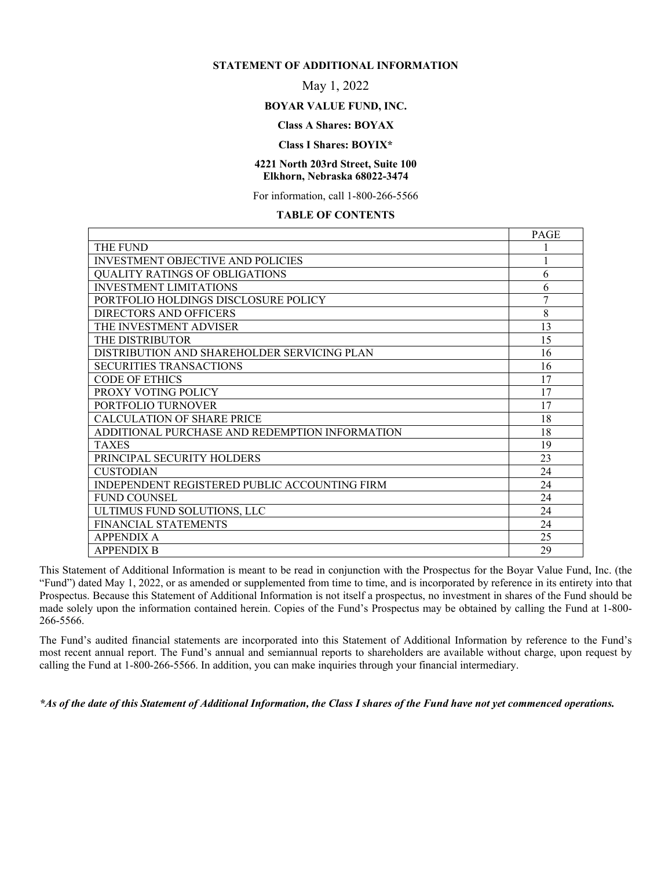#### **STATEMENT OF ADDITIONAL INFORMATION**

# May 1, 2022

#### **BOYAR VALUE FUND, INC.**

# **Class A Shares: BOYAX**

#### **Class I Shares: BOYIX\***

#### **4221 North 203rd Street, Suite 100 Elkhorn, Nebraska 68022-3474**

For information, call 1-800-266-5566

#### **TABLE OF CONTENTS**

|                                                | <b>PAGE</b> |
|------------------------------------------------|-------------|
| THE FUND                                       |             |
| <b>INVESTMENT OBJECTIVE AND POLICIES</b>       |             |
| <b>QUALITY RATINGS OF OBLIGATIONS</b>          | 6           |
| <b>INVESTMENT LIMITATIONS</b>                  | 6           |
| PORTFOLIO HOLDINGS DISCLOSURE POLICY           | 7           |
| DIRECTORS AND OFFICERS                         | 8           |
| THE INVESTMENT ADVISER                         | 13          |
| THE DISTRIBUTOR                                | 15          |
| DISTRIBUTION AND SHAREHOLDER SERVICING PLAN    | 16          |
| <b>SECURITIES TRANSACTIONS</b>                 | 16          |
| <b>CODE OF ETHICS</b>                          | 17          |
| PROXY VOTING POLICY                            | 17          |
| PORTFOLIO TURNOVER                             | 17          |
| CALCULATION OF SHARE PRICE                     | 18          |
| ADDITIONAL PURCHASE AND REDEMPTION INFORMATION | 18          |
| <b>TAXES</b>                                   | 19          |
| PRINCIPAL SECURITY HOLDERS                     | 23          |
| CUSTODIAN                                      | 24          |
| INDEPENDENT REGISTERED PUBLIC ACCOUNTING FIRM  | 24          |
| <b>FUND COUNSEL</b>                            | 24          |
| ULTIMUS FUND SOLUTIONS, LLC                    | 24          |
| FINANCIAL STATEMENTS                           | 24          |
| <b>APPENDIX A</b>                              | 25          |
| <b>APPENDIX B</b>                              | 29          |

This Statement of Additional Information is meant to be read in conjunction with the Prospectus for the Boyar Value Fund, Inc. (the "Fund") dated May 1, 2022, or as amended or supplemented from time to time, and is incorporated by reference in its entirety into that Prospectus. Because this Statement of Additional Information is not itself a prospectus, no investment in shares of the Fund should be made solely upon the information contained herein. Copies of the Fund's Prospectus may be obtained by calling the Fund at 1-800- 266-5566.

The Fund's audited financial statements are incorporated into this Statement of Additional Information by reference to the Fund's most recent annual report. The Fund's annual and semiannual reports to shareholders are available without charge, upon request by calling the Fund at 1-800-266-5566. In addition, you can make inquiries through your financial intermediary.

*\*As of the date of this Statement of Additional Information, the Class I shares of the Fund have not yet commenced operations.*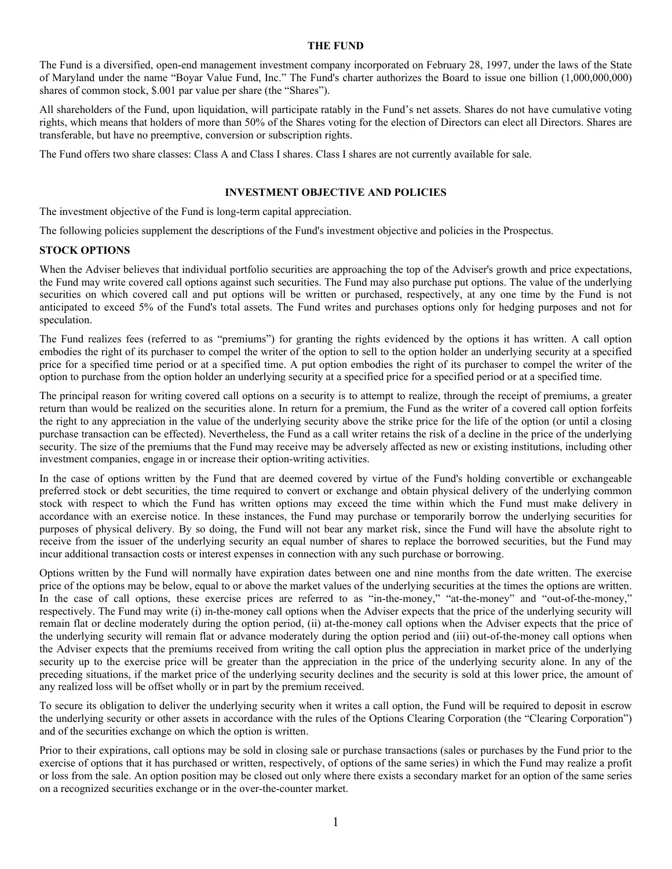#### **THE FUND**

The Fund is a diversified, open-end management investment company incorporated on February 28, 1997, under the laws of the State of Maryland under the name "Boyar Value Fund, Inc." The Fund's charter authorizes the Board to issue one billion (1,000,000,000) shares of common stock, \$.001 par value per share (the "Shares").

All shareholders of the Fund, upon liquidation, will participate ratably in the Fund's net assets. Shares do not have cumulative voting rights, which means that holders of more than 50% of the Shares voting for the election of Directors can elect all Directors. Shares are transferable, but have no preemptive, conversion or subscription rights.

The Fund offers two share classes: Class A and Class I shares. Class I shares are not currently available for sale.

#### **INVESTMENT OBJECTIVE AND POLICIES**

The investment objective of the Fund is long-term capital appreciation.

The following policies supplement the descriptions of the Fund's investment objective and policies in the Prospectus.

#### **STOCK OPTIONS**

When the Adviser believes that individual portfolio securities are approaching the top of the Adviser's growth and price expectations, the Fund may write covered call options against such securities. The Fund may also purchase put options. The value of the underlying securities on which covered call and put options will be written or purchased, respectively, at any one time by the Fund is not anticipated to exceed 5% of the Fund's total assets. The Fund writes and purchases options only for hedging purposes and not for speculation.

The Fund realizes fees (referred to as "premiums") for granting the rights evidenced by the options it has written. A call option embodies the right of its purchaser to compel the writer of the option to sell to the option holder an underlying security at a specified price for a specified time period or at a specified time. A put option embodies the right of its purchaser to compel the writer of the option to purchase from the option holder an underlying security at a specified price for a specified period or at a specified time.

The principal reason for writing covered call options on a security is to attempt to realize, through the receipt of premiums, a greater return than would be realized on the securities alone. In return for a premium, the Fund as the writer of a covered call option forfeits the right to any appreciation in the value of the underlying security above the strike price for the life of the option (or until a closing purchase transaction can be effected). Nevertheless, the Fund as a call writer retains the risk of a decline in the price of the underlying security. The size of the premiums that the Fund may receive may be adversely affected as new or existing institutions, including other investment companies, engage in or increase their option-writing activities.

In the case of options written by the Fund that are deemed covered by virtue of the Fund's holding convertible or exchangeable preferred stock or debt securities, the time required to convert or exchange and obtain physical delivery of the underlying common stock with respect to which the Fund has written options may exceed the time within which the Fund must make delivery in accordance with an exercise notice. In these instances, the Fund may purchase or temporarily borrow the underlying securities for purposes of physical delivery. By so doing, the Fund will not bear any market risk, since the Fund will have the absolute right to receive from the issuer of the underlying security an equal number of shares to replace the borrowed securities, but the Fund may incur additional transaction costs or interest expenses in connection with any such purchase or borrowing.

Options written by the Fund will normally have expiration dates between one and nine months from the date written. The exercise price of the options may be below, equal to or above the market values of the underlying securities at the times the options are written. In the case of call options, these exercise prices are referred to as "in-the-money," "at-the-money" and "out-of-the-money," respectively. The Fund may write (i) in-the-money call options when the Adviser expects that the price of the underlying security will remain flat or decline moderately during the option period, (ii) at-the-money call options when the Adviser expects that the price of the underlying security will remain flat or advance moderately during the option period and (iii) out-of-the-money call options when the Adviser expects that the premiums received from writing the call option plus the appreciation in market price of the underlying security up to the exercise price will be greater than the appreciation in the price of the underlying security alone. In any of the preceding situations, if the market price of the underlying security declines and the security is sold at this lower price, the amount of any realized loss will be offset wholly or in part by the premium received.

To secure its obligation to deliver the underlying security when it writes a call option, the Fund will be required to deposit in escrow the underlying security or other assets in accordance with the rules of the Options Clearing Corporation (the "Clearing Corporation") and of the securities exchange on which the option is written.

Prior to their expirations, call options may be sold in closing sale or purchase transactions (sales or purchases by the Fund prior to the exercise of options that it has purchased or written, respectively, of options of the same series) in which the Fund may realize a profit or loss from the sale. An option position may be closed out only where there exists a secondary market for an option of the same series on a recognized securities exchange or in the over-the-counter market.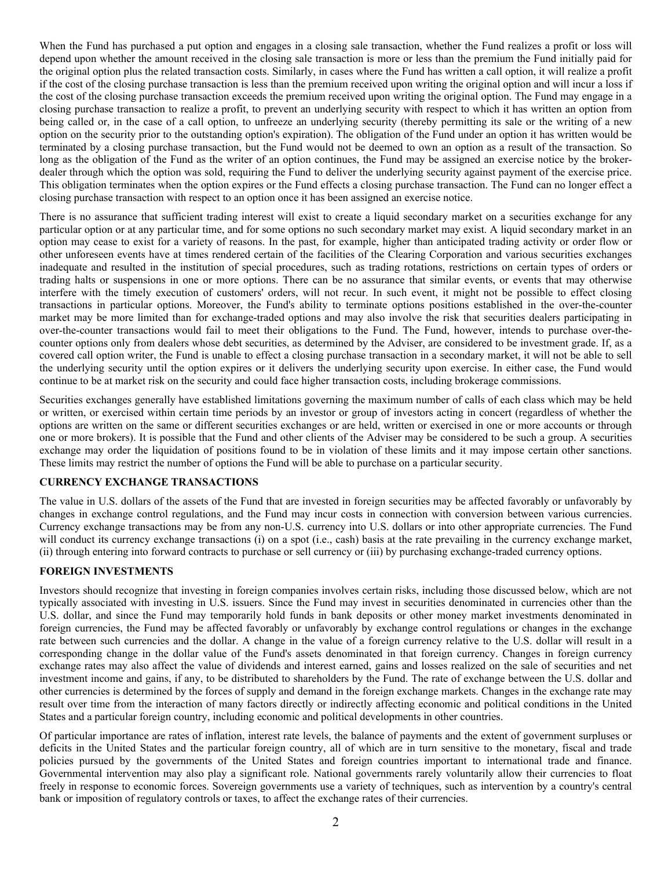When the Fund has purchased a put option and engages in a closing sale transaction, whether the Fund realizes a profit or loss will depend upon whether the amount received in the closing sale transaction is more or less than the premium the Fund initially paid for the original option plus the related transaction costs. Similarly, in cases where the Fund has written a call option, it will realize a profit if the cost of the closing purchase transaction is less than the premium received upon writing the original option and will incur a loss if the cost of the closing purchase transaction exceeds the premium received upon writing the original option. The Fund may engage in a closing purchase transaction to realize a profit, to prevent an underlying security with respect to which it has written an option from being called or, in the case of a call option, to unfreeze an underlying security (thereby permitting its sale or the writing of a new option on the security prior to the outstanding option's expiration). The obligation of the Fund under an option it has written would be terminated by a closing purchase transaction, but the Fund would not be deemed to own an option as a result of the transaction. So long as the obligation of the Fund as the writer of an option continues, the Fund may be assigned an exercise notice by the brokerdealer through which the option was sold, requiring the Fund to deliver the underlying security against payment of the exercise price. This obligation terminates when the option expires or the Fund effects a closing purchase transaction. The Fund can no longer effect a closing purchase transaction with respect to an option once it has been assigned an exercise notice.

There is no assurance that sufficient trading interest will exist to create a liquid secondary market on a securities exchange for any particular option or at any particular time, and for some options no such secondary market may exist. A liquid secondary market in an option may cease to exist for a variety of reasons. In the past, for example, higher than anticipated trading activity or order flow or other unforeseen events have at times rendered certain of the facilities of the Clearing Corporation and various securities exchanges inadequate and resulted in the institution of special procedures, such as trading rotations, restrictions on certain types of orders or trading halts or suspensions in one or more options. There can be no assurance that similar events, or events that may otherwise interfere with the timely execution of customers' orders, will not recur. In such event, it might not be possible to effect closing transactions in particular options. Moreover, the Fund's ability to terminate options positions established in the over-the-counter market may be more limited than for exchange-traded options and may also involve the risk that securities dealers participating in over-the-counter transactions would fail to meet their obligations to the Fund. The Fund, however, intends to purchase over-thecounter options only from dealers whose debt securities, as determined by the Adviser, are considered to be investment grade. If, as a covered call option writer, the Fund is unable to effect a closing purchase transaction in a secondary market, it will not be able to sell the underlying security until the option expires or it delivers the underlying security upon exercise. In either case, the Fund would continue to be at market risk on the security and could face higher transaction costs, including brokerage commissions.

Securities exchanges generally have established limitations governing the maximum number of calls of each class which may be held or written, or exercised within certain time periods by an investor or group of investors acting in concert (regardless of whether the options are written on the same or different securities exchanges or are held, written or exercised in one or more accounts or through one or more brokers). It is possible that the Fund and other clients of the Adviser may be considered to be such a group. A securities exchange may order the liquidation of positions found to be in violation of these limits and it may impose certain other sanctions. These limits may restrict the number of options the Fund will be able to purchase on a particular security.

## **CURRENCY EXCHANGE TRANSACTIONS**

The value in U.S. dollars of the assets of the Fund that are invested in foreign securities may be affected favorably or unfavorably by changes in exchange control regulations, and the Fund may incur costs in connection with conversion between various currencies. Currency exchange transactions may be from any non-U.S. currency into U.S. dollars or into other appropriate currencies. The Fund will conduct its currency exchange transactions (i) on a spot (i.e., cash) basis at the rate prevailing in the currency exchange market, (ii) through entering into forward contracts to purchase or sell currency or (iii) by purchasing exchange-traded currency options.

## **FOREIGN INVESTMENTS**

Investors should recognize that investing in foreign companies involves certain risks, including those discussed below, which are not typically associated with investing in U.S. issuers. Since the Fund may invest in securities denominated in currencies other than the U.S. dollar, and since the Fund may temporarily hold funds in bank deposits or other money market investments denominated in foreign currencies, the Fund may be affected favorably or unfavorably by exchange control regulations or changes in the exchange rate between such currencies and the dollar. A change in the value of a foreign currency relative to the U.S. dollar will result in a corresponding change in the dollar value of the Fund's assets denominated in that foreign currency. Changes in foreign currency exchange rates may also affect the value of dividends and interest earned, gains and losses realized on the sale of securities and net investment income and gains, if any, to be distributed to shareholders by the Fund. The rate of exchange between the U.S. dollar and other currencies is determined by the forces of supply and demand in the foreign exchange markets. Changes in the exchange rate may result over time from the interaction of many factors directly or indirectly affecting economic and political conditions in the United States and a particular foreign country, including economic and political developments in other countries.

Of particular importance are rates of inflation, interest rate levels, the balance of payments and the extent of government surpluses or deficits in the United States and the particular foreign country, all of which are in turn sensitive to the monetary, fiscal and trade policies pursued by the governments of the United States and foreign countries important to international trade and finance. Governmental intervention may also play a significant role. National governments rarely voluntarily allow their currencies to float freely in response to economic forces. Sovereign governments use a variety of techniques, such as intervention by a country's central bank or imposition of regulatory controls or taxes, to affect the exchange rates of their currencies.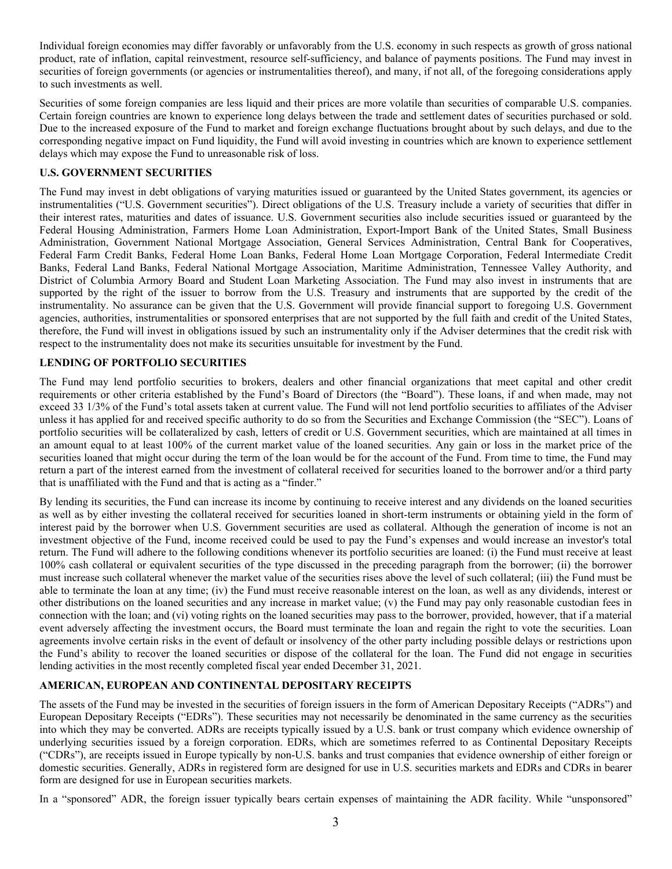Individual foreign economies may differ favorably or unfavorably from the U.S. economy in such respects as growth of gross national product, rate of inflation, capital reinvestment, resource self-sufficiency, and balance of payments positions. The Fund may invest in securities of foreign governments (or agencies or instrumentalities thereof), and many, if not all, of the foregoing considerations apply to such investments as well.

Securities of some foreign companies are less liquid and their prices are more volatile than securities of comparable U.S. companies. Certain foreign countries are known to experience long delays between the trade and settlement dates of securities purchased or sold. Due to the increased exposure of the Fund to market and foreign exchange fluctuations brought about by such delays, and due to the corresponding negative impact on Fund liquidity, the Fund will avoid investing in countries which are known to experience settlement delays which may expose the Fund to unreasonable risk of loss.

# **U.S. GOVERNMENT SECURITIES**

The Fund may invest in debt obligations of varying maturities issued or guaranteed by the United States government, its agencies or instrumentalities ("U.S. Government securities"). Direct obligations of the U.S. Treasury include a variety of securities that differ in their interest rates, maturities and dates of issuance. U.S. Government securities also include securities issued or guaranteed by the Federal Housing Administration, Farmers Home Loan Administration, Export-Import Bank of the United States, Small Business Administration, Government National Mortgage Association, General Services Administration, Central Bank for Cooperatives, Federal Farm Credit Banks, Federal Home Loan Banks, Federal Home Loan Mortgage Corporation, Federal Intermediate Credit Banks, Federal Land Banks, Federal National Mortgage Association, Maritime Administration, Tennessee Valley Authority, and District of Columbia Armory Board and Student Loan Marketing Association. The Fund may also invest in instruments that are supported by the right of the issuer to borrow from the U.S. Treasury and instruments that are supported by the credit of the instrumentality. No assurance can be given that the U.S. Government will provide financial support to foregoing U.S. Government agencies, authorities, instrumentalities or sponsored enterprises that are not supported by the full faith and credit of the United States, therefore, the Fund will invest in obligations issued by such an instrumentality only if the Adviser determines that the credit risk with respect to the instrumentality does not make its securities unsuitable for investment by the Fund.

# **LENDING OF PORTFOLIO SECURITIES**

The Fund may lend portfolio securities to brokers, dealers and other financial organizations that meet capital and other credit requirements or other criteria established by the Fund's Board of Directors (the "Board"). These loans, if and when made, may not exceed 33 1/3% of the Fund's total assets taken at current value. The Fund will not lend portfolio securities to affiliates of the Adviser unless it has applied for and received specific authority to do so from the Securities and Exchange Commission (the "SEC"). Loans of portfolio securities will be collateralized by cash, letters of credit or U.S. Government securities, which are maintained at all times in an amount equal to at least 100% of the current market value of the loaned securities. Any gain or loss in the market price of the securities loaned that might occur during the term of the loan would be for the account of the Fund. From time to time, the Fund may return a part of the interest earned from the investment of collateral received for securities loaned to the borrower and/or a third party that is unaffiliated with the Fund and that is acting as a "finder."

By lending its securities, the Fund can increase its income by continuing to receive interest and any dividends on the loaned securities as well as by either investing the collateral received for securities loaned in short-term instruments or obtaining yield in the form of interest paid by the borrower when U.S. Government securities are used as collateral. Although the generation of income is not an investment objective of the Fund, income received could be used to pay the Fund's expenses and would increase an investor's total return. The Fund will adhere to the following conditions whenever its portfolio securities are loaned: (i) the Fund must receive at least 100% cash collateral or equivalent securities of the type discussed in the preceding paragraph from the borrower; (ii) the borrower must increase such collateral whenever the market value of the securities rises above the level of such collateral; (iii) the Fund must be able to terminate the loan at any time; (iv) the Fund must receive reasonable interest on the loan, as well as any dividends, interest or other distributions on the loaned securities and any increase in market value; (v) the Fund may pay only reasonable custodian fees in connection with the loan; and (vi) voting rights on the loaned securities may pass to the borrower, provided, however, that if a material event adversely affecting the investment occurs, the Board must terminate the loan and regain the right to vote the securities. Loan agreements involve certain risks in the event of default or insolvency of the other party including possible delays or restrictions upon the Fund's ability to recover the loaned securities or dispose of the collateral for the loan. The Fund did not engage in securities lending activities in the most recently completed fiscal year ended December 31, 2021.

# **AMERICAN, EUROPEAN AND CONTINENTAL DEPOSITARY RECEIPTS**

The assets of the Fund may be invested in the securities of foreign issuers in the form of American Depositary Receipts ("ADRs") and European Depositary Receipts ("EDRs"). These securities may not necessarily be denominated in the same currency as the securities into which they may be converted. ADRs are receipts typically issued by a U.S. bank or trust company which evidence ownership of underlying securities issued by a foreign corporation. EDRs, which are sometimes referred to as Continental Depositary Receipts ("CDRs"), are receipts issued in Europe typically by non-U.S. banks and trust companies that evidence ownership of either foreign or domestic securities. Generally, ADRs in registered form are designed for use in U.S. securities markets and EDRs and CDRs in bearer form are designed for use in European securities markets.

In a "sponsored" ADR, the foreign issuer typically bears certain expenses of maintaining the ADR facility. While "unsponsored"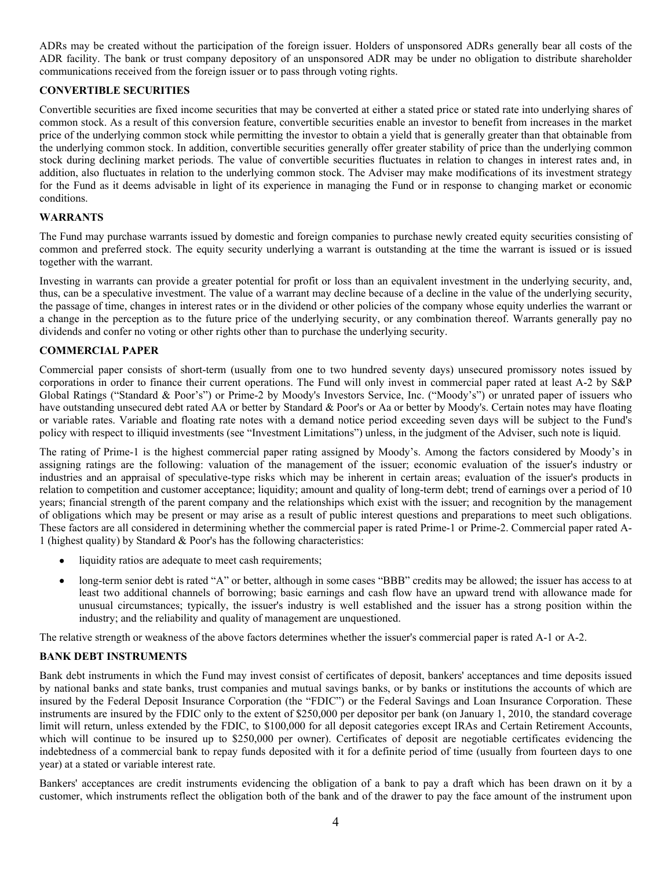ADRs may be created without the participation of the foreign issuer. Holders of unsponsored ADRs generally bear all costs of the ADR facility. The bank or trust company depository of an unsponsored ADR may be under no obligation to distribute shareholder communications received from the foreign issuer or to pass through voting rights.

# **CONVERTIBLE SECURITIES**

Convertible securities are fixed income securities that may be converted at either a stated price or stated rate into underlying shares of common stock. As a result of this conversion feature, convertible securities enable an investor to benefit from increases in the market price of the underlying common stock while permitting the investor to obtain a yield that is generally greater than that obtainable from the underlying common stock. In addition, convertible securities generally offer greater stability of price than the underlying common stock during declining market periods. The value of convertible securities fluctuates in relation to changes in interest rates and, in addition, also fluctuates in relation to the underlying common stock. The Adviser may make modifications of its investment strategy for the Fund as it deems advisable in light of its experience in managing the Fund or in response to changing market or economic conditions.

#### **WARRANTS**

The Fund may purchase warrants issued by domestic and foreign companies to purchase newly created equity securities consisting of common and preferred stock. The equity security underlying a warrant is outstanding at the time the warrant is issued or is issued together with the warrant.

Investing in warrants can provide a greater potential for profit or loss than an equivalent investment in the underlying security, and, thus, can be a speculative investment. The value of a warrant may decline because of a decline in the value of the underlying security, the passage of time, changes in interest rates or in the dividend or other policies of the company whose equity underlies the warrant or a change in the perception as to the future price of the underlying security, or any combination thereof. Warrants generally pay no dividends and confer no voting or other rights other than to purchase the underlying security.

## **COMMERCIAL PAPER**

Commercial paper consists of short-term (usually from one to two hundred seventy days) unsecured promissory notes issued by corporations in order to finance their current operations. The Fund will only invest in commercial paper rated at least A-2 by S&P Global Ratings ("Standard & Poor's") or Prime-2 by Moody's Investors Service, Inc. ("Moody's") or unrated paper of issuers who have outstanding unsecured debt rated AA or better by Standard & Poor's or Aa or better by Moody's. Certain notes may have floating or variable rates. Variable and floating rate notes with a demand notice period exceeding seven days will be subject to the Fund's policy with respect to illiquid investments (see "Investment Limitations") unless, in the judgment of the Adviser, such note is liquid.

The rating of Prime-1 is the highest commercial paper rating assigned by Moody's. Among the factors considered by Moody's in assigning ratings are the following: valuation of the management of the issuer; economic evaluation of the issuer's industry or industries and an appraisal of speculative-type risks which may be inherent in certain areas; evaluation of the issuer's products in relation to competition and customer acceptance; liquidity; amount and quality of long-term debt; trend of earnings over a period of 10 years; financial strength of the parent company and the relationships which exist with the issuer; and recognition by the management of obligations which may be present or may arise as a result of public interest questions and preparations to meet such obligations. These factors are all considered in determining whether the commercial paper is rated Prime-1 or Prime-2. Commercial paper rated A-1 (highest quality) by Standard & Poor's has the following characteristics:

- liquidity ratios are adequate to meet cash requirements;
- long-term senior debt is rated "A" or better, although in some cases "BBB" credits may be allowed; the issuer has access to at least two additional channels of borrowing; basic earnings and cash flow have an upward trend with allowance made for unusual circumstances; typically, the issuer's industry is well established and the issuer has a strong position within the industry; and the reliability and quality of management are unquestioned.

The relative strength or weakness of the above factors determines whether the issuer's commercial paper is rated A-1 or A-2.

## **BANK DEBT INSTRUMENTS**

Bank debt instruments in which the Fund may invest consist of certificates of deposit, bankers' acceptances and time deposits issued by national banks and state banks, trust companies and mutual savings banks, or by banks or institutions the accounts of which are insured by the Federal Deposit Insurance Corporation (the "FDIC") or the Federal Savings and Loan Insurance Corporation. These instruments are insured by the FDIC only to the extent of \$250,000 per depositor per bank (on January 1, 2010, the standard coverage limit will return, unless extended by the FDIC, to \$100,000 for all deposit categories except IRAs and Certain Retirement Accounts, which will continue to be insured up to \$250,000 per owner). Certificates of deposit are negotiable certificates evidencing the indebtedness of a commercial bank to repay funds deposited with it for a definite period of time (usually from fourteen days to one year) at a stated or variable interest rate.

Bankers' acceptances are credit instruments evidencing the obligation of a bank to pay a draft which has been drawn on it by a customer, which instruments reflect the obligation both of the bank and of the drawer to pay the face amount of the instrument upon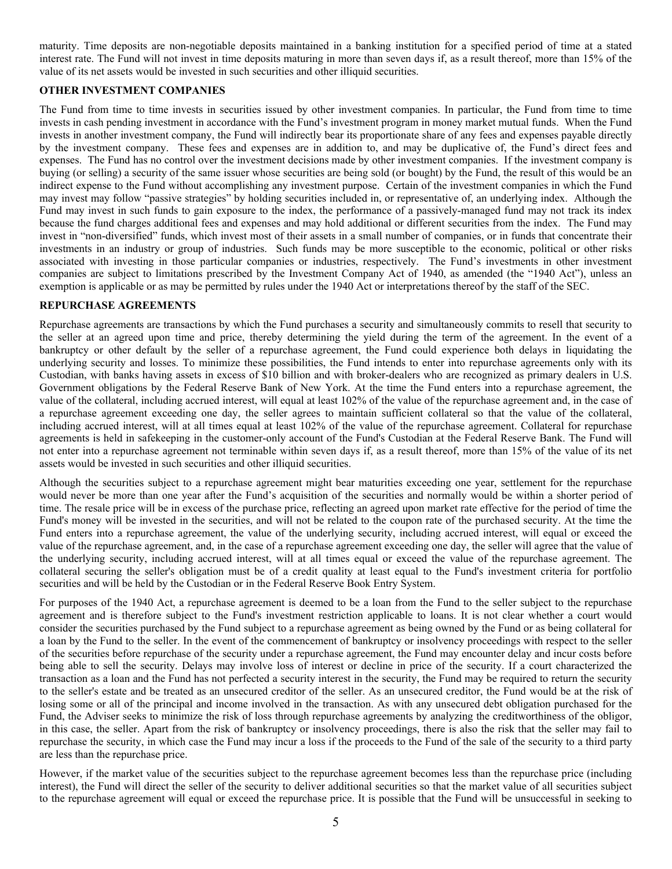maturity. Time deposits are non-negotiable deposits maintained in a banking institution for a specified period of time at a stated interest rate. The Fund will not invest in time deposits maturing in more than seven days if, as a result thereof, more than 15% of the value of its net assets would be invested in such securities and other illiquid securities.

# **OTHER INVESTMENT COMPANIES**

The Fund from time to time invests in securities issued by other investment companies. In particular, the Fund from time to time invests in cash pending investment in accordance with the Fund's investment program in money market mutual funds. When the Fund invests in another investment company, the Fund will indirectly bear its proportionate share of any fees and expenses payable directly by the investment company. These fees and expenses are in addition to, and may be duplicative of, the Fund's direct fees and expenses. The Fund has no control over the investment decisions made by other investment companies. If the investment company is buying (or selling) a security of the same issuer whose securities are being sold (or bought) by the Fund, the result of this would be an indirect expense to the Fund without accomplishing any investment purpose. Certain of the investment companies in which the Fund may invest may follow "passive strategies" by holding securities included in, or representative of, an underlying index. Although the Fund may invest in such funds to gain exposure to the index, the performance of a passively-managed fund may not track its index because the fund charges additional fees and expenses and may hold additional or different securities from the index. The Fund may invest in "non-diversified" funds, which invest most of their assets in a small number of companies, or in funds that concentrate their investments in an industry or group of industries. Such funds may be more susceptible to the economic, political or other risks associated with investing in those particular companies or industries, respectively. The Fund's investments in other investment companies are subject to limitations prescribed by the Investment Company Act of 1940, as amended (the "1940 Act"), unless an exemption is applicable or as may be permitted by rules under the 1940 Act or interpretations thereof by the staff of the SEC.

#### **REPURCHASE AGREEMENTS**

Repurchase agreements are transactions by which the Fund purchases a security and simultaneously commits to resell that security to the seller at an agreed upon time and price, thereby determining the yield during the term of the agreement. In the event of a bankruptcy or other default by the seller of a repurchase agreement, the Fund could experience both delays in liquidating the underlying security and losses. To minimize these possibilities, the Fund intends to enter into repurchase agreements only with its Custodian, with banks having assets in excess of \$10 billion and with broker-dealers who are recognized as primary dealers in U.S. Government obligations by the Federal Reserve Bank of New York. At the time the Fund enters into a repurchase agreement, the value of the collateral, including accrued interest, will equal at least 102% of the value of the repurchase agreement and, in the case of a repurchase agreement exceeding one day, the seller agrees to maintain sufficient collateral so that the value of the collateral, including accrued interest, will at all times equal at least 102% of the value of the repurchase agreement. Collateral for repurchase agreements is held in safekeeping in the customer-only account of the Fund's Custodian at the Federal Reserve Bank. The Fund will not enter into a repurchase agreement not terminable within seven days if, as a result thereof, more than 15% of the value of its net assets would be invested in such securities and other illiquid securities.

Although the securities subject to a repurchase agreement might bear maturities exceeding one year, settlement for the repurchase would never be more than one year after the Fund's acquisition of the securities and normally would be within a shorter period of time. The resale price will be in excess of the purchase price, reflecting an agreed upon market rate effective for the period of time the Fund's money will be invested in the securities, and will not be related to the coupon rate of the purchased security. At the time the Fund enters into a repurchase agreement, the value of the underlying security, including accrued interest, will equal or exceed the value of the repurchase agreement, and, in the case of a repurchase agreement exceeding one day, the seller will agree that the value of the underlying security, including accrued interest, will at all times equal or exceed the value of the repurchase agreement. The collateral securing the seller's obligation must be of a credit quality at least equal to the Fund's investment criteria for portfolio securities and will be held by the Custodian or in the Federal Reserve Book Entry System.

For purposes of the 1940 Act, a repurchase agreement is deemed to be a loan from the Fund to the seller subject to the repurchase agreement and is therefore subject to the Fund's investment restriction applicable to loans. It is not clear whether a court would consider the securities purchased by the Fund subject to a repurchase agreement as being owned by the Fund or as being collateral for a loan by the Fund to the seller. In the event of the commencement of bankruptcy or insolvency proceedings with respect to the seller of the securities before repurchase of the security under a repurchase agreement, the Fund may encounter delay and incur costs before being able to sell the security. Delays may involve loss of interest or decline in price of the security. If a court characterized the transaction as a loan and the Fund has not perfected a security interest in the security, the Fund may be required to return the security to the seller's estate and be treated as an unsecured creditor of the seller. As an unsecured creditor, the Fund would be at the risk of losing some or all of the principal and income involved in the transaction. As with any unsecured debt obligation purchased for the Fund, the Adviser seeks to minimize the risk of loss through repurchase agreements by analyzing the creditworthiness of the obligor, in this case, the seller. Apart from the risk of bankruptcy or insolvency proceedings, there is also the risk that the seller may fail to repurchase the security, in which case the Fund may incur a loss if the proceeds to the Fund of the sale of the security to a third party are less than the repurchase price.

However, if the market value of the securities subject to the repurchase agreement becomes less than the repurchase price (including interest), the Fund will direct the seller of the security to deliver additional securities so that the market value of all securities subject to the repurchase agreement will equal or exceed the repurchase price. It is possible that the Fund will be unsuccessful in seeking to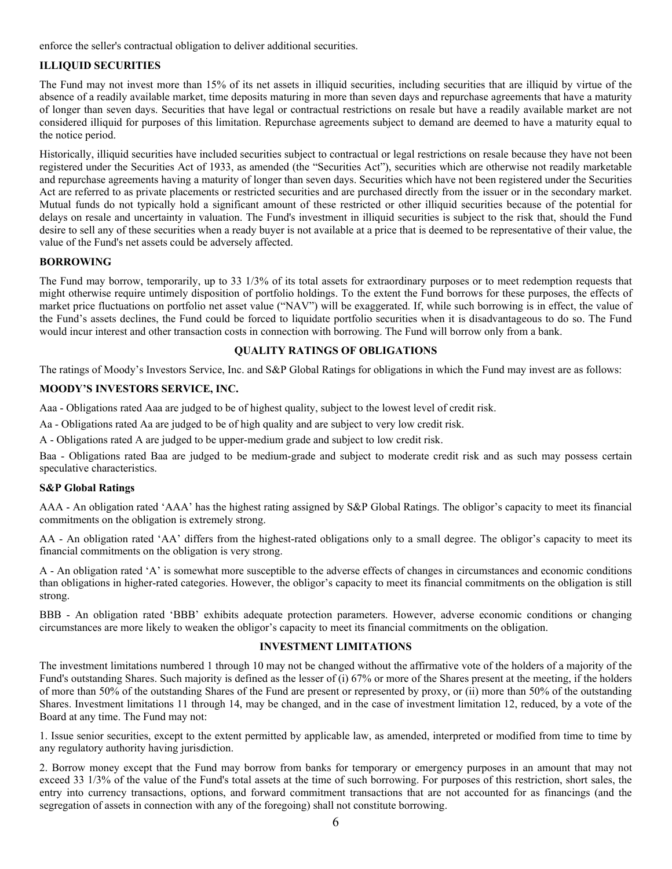enforce the seller's contractual obligation to deliver additional securities.

# **ILLIQUID SECURITIES**

The Fund may not invest more than 15% of its net assets in illiquid securities, including securities that are illiquid by virtue of the absence of a readily available market, time deposits maturing in more than seven days and repurchase agreements that have a maturity of longer than seven days. Securities that have legal or contractual restrictions on resale but have a readily available market are not considered illiquid for purposes of this limitation. Repurchase agreements subject to demand are deemed to have a maturity equal to the notice period.

Historically, illiquid securities have included securities subject to contractual or legal restrictions on resale because they have not been registered under the Securities Act of 1933, as amended (the "Securities Act"), securities which are otherwise not readily marketable and repurchase agreements having a maturity of longer than seven days. Securities which have not been registered under the Securities Act are referred to as private placements or restricted securities and are purchased directly from the issuer or in the secondary market. Mutual funds do not typically hold a significant amount of these restricted or other illiquid securities because of the potential for delays on resale and uncertainty in valuation. The Fund's investment in illiquid securities is subject to the risk that, should the Fund desire to sell any of these securities when a ready buyer is not available at a price that is deemed to be representative of their value, the value of the Fund's net assets could be adversely affected.

#### **BORROWING**

The Fund may borrow, temporarily, up to 33 1/3% of its total assets for extraordinary purposes or to meet redemption requests that might otherwise require untimely disposition of portfolio holdings. To the extent the Fund borrows for these purposes, the effects of market price fluctuations on portfolio net asset value ("NAV") will be exaggerated. If, while such borrowing is in effect, the value of the Fund's assets declines, the Fund could be forced to liquidate portfolio securities when it is disadvantageous to do so. The Fund would incur interest and other transaction costs in connection with borrowing. The Fund will borrow only from a bank.

#### **QUALITY RATINGS OF OBLIGATIONS**

The ratings of Moody's Investors Service, Inc. and S&P Global Ratings for obligations in which the Fund may invest are as follows:

## **MOODY'S INVESTORS SERVICE, INC.**

Aaa - Obligations rated Aaa are judged to be of highest quality, subject to the lowest level of credit risk.

Aa - Obligations rated Aa are judged to be of high quality and are subject to very low credit risk.

A - Obligations rated A are judged to be upper-medium grade and subject to low credit risk.

Baa - Obligations rated Baa are judged to be medium-grade and subject to moderate credit risk and as such may possess certain speculative characteristics.

#### **S&P Global Ratings**

AAA - An obligation rated 'AAA' has the highest rating assigned by S&P Global Ratings. The obligor's capacity to meet its financial commitments on the obligation is extremely strong.

AA - An obligation rated 'AA' differs from the highest-rated obligations only to a small degree. The obligor's capacity to meet its financial commitments on the obligation is very strong.

A - An obligation rated 'A' is somewhat more susceptible to the adverse effects of changes in circumstances and economic conditions than obligations in higher-rated categories. However, the obligor's capacity to meet its financial commitments on the obligation is still strong.

BBB - An obligation rated 'BBB' exhibits adequate protection parameters. However, adverse economic conditions or changing circumstances are more likely to weaken the obligor's capacity to meet its financial commitments on the obligation.

#### **INVESTMENT LIMITATIONS**

The investment limitations numbered 1 through 10 may not be changed without the affirmative vote of the holders of a majority of the Fund's outstanding Shares. Such majority is defined as the lesser of (i) 67% or more of the Shares present at the meeting, if the holders of more than 50% of the outstanding Shares of the Fund are present or represented by proxy, or (ii) more than 50% of the outstanding Shares. Investment limitations 11 through 14, may be changed, and in the case of investment limitation 12, reduced, by a vote of the Board at any time. The Fund may not:

1. Issue senior securities, except to the extent permitted by applicable law, as amended, interpreted or modified from time to time by any regulatory authority having jurisdiction.

2. Borrow money except that the Fund may borrow from banks for temporary or emergency purposes in an amount that may not exceed 33 1/3% of the value of the Fund's total assets at the time of such borrowing. For purposes of this restriction, short sales, the entry into currency transactions, options, and forward commitment transactions that are not accounted for as financings (and the segregation of assets in connection with any of the foregoing) shall not constitute borrowing.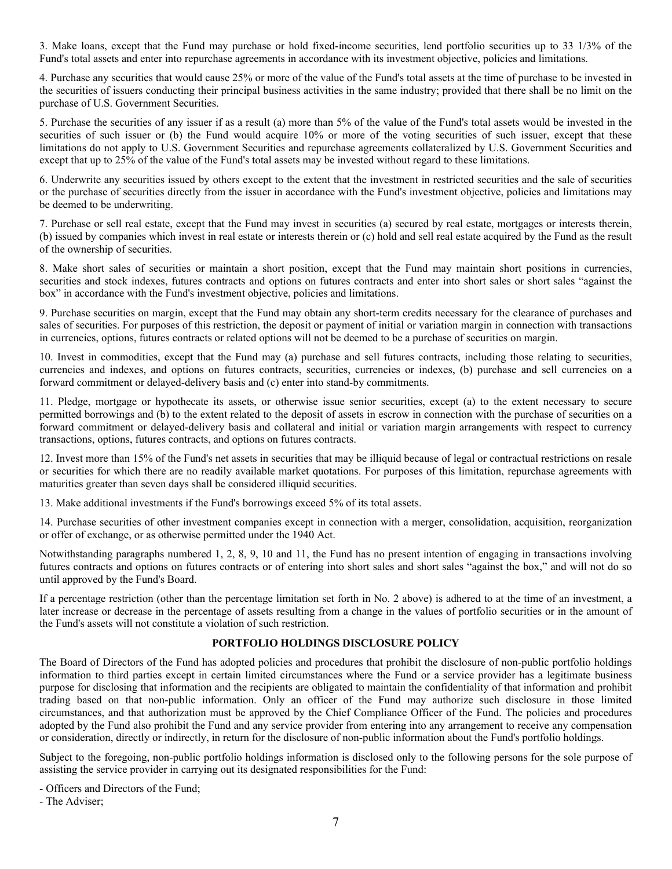3. Make loans, except that the Fund may purchase or hold fixed-income securities, lend portfolio securities up to 33 1/3% of the Fund's total assets and enter into repurchase agreements in accordance with its investment objective, policies and limitations.

4. Purchase any securities that would cause 25% or more of the value of the Fund's total assets at the time of purchase to be invested in the securities of issuers conducting their principal business activities in the same industry; provided that there shall be no limit on the purchase of U.S. Government Securities.

5. Purchase the securities of any issuer if as a result (a) more than 5% of the value of the Fund's total assets would be invested in the securities of such issuer or (b) the Fund would acquire 10% or more of the voting securities of such issuer, except that these limitations do not apply to U.S. Government Securities and repurchase agreements collateralized by U.S. Government Securities and except that up to 25% of the value of the Fund's total assets may be invested without regard to these limitations.

6. Underwrite any securities issued by others except to the extent that the investment in restricted securities and the sale of securities or the purchase of securities directly from the issuer in accordance with the Fund's investment objective, policies and limitations may be deemed to be underwriting.

7. Purchase or sell real estate, except that the Fund may invest in securities (a) secured by real estate, mortgages or interests therein, (b) issued by companies which invest in real estate or interests therein or (c) hold and sell real estate acquired by the Fund as the result of the ownership of securities.

8. Make short sales of securities or maintain a short position, except that the Fund may maintain short positions in currencies, securities and stock indexes, futures contracts and options on futures contracts and enter into short sales or short sales "against the box" in accordance with the Fund's investment objective, policies and limitations.

9. Purchase securities on margin, except that the Fund may obtain any short-term credits necessary for the clearance of purchases and sales of securities. For purposes of this restriction, the deposit or payment of initial or variation margin in connection with transactions in currencies, options, futures contracts or related options will not be deemed to be a purchase of securities on margin.

10. Invest in commodities, except that the Fund may (a) purchase and sell futures contracts, including those relating to securities, currencies and indexes, and options on futures contracts, securities, currencies or indexes, (b) purchase and sell currencies on a forward commitment or delayed-delivery basis and (c) enter into stand-by commitments.

11. Pledge, mortgage or hypothecate its assets, or otherwise issue senior securities, except (a) to the extent necessary to secure permitted borrowings and (b) to the extent related to the deposit of assets in escrow in connection with the purchase of securities on a forward commitment or delayed-delivery basis and collateral and initial or variation margin arrangements with respect to currency transactions, options, futures contracts, and options on futures contracts.

12. Invest more than 15% of the Fund's net assets in securities that may be illiquid because of legal or contractual restrictions on resale or securities for which there are no readily available market quotations. For purposes of this limitation, repurchase agreements with maturities greater than seven days shall be considered illiquid securities.

13. Make additional investments if the Fund's borrowings exceed 5% of its total assets.

14. Purchase securities of other investment companies except in connection with a merger, consolidation, acquisition, reorganization or offer of exchange, or as otherwise permitted under the 1940 Act.

Notwithstanding paragraphs numbered 1, 2, 8, 9, 10 and 11, the Fund has no present intention of engaging in transactions involving futures contracts and options on futures contracts or of entering into short sales and short sales "against the box," and will not do so until approved by the Fund's Board.

If a percentage restriction (other than the percentage limitation set forth in No. 2 above) is adhered to at the time of an investment, a later increase or decrease in the percentage of assets resulting from a change in the values of portfolio securities or in the amount of the Fund's assets will not constitute a violation of such restriction.

## **PORTFOLIO HOLDINGS DISCLOSURE POLICY**

The Board of Directors of the Fund has adopted policies and procedures that prohibit the disclosure of non-public portfolio holdings information to third parties except in certain limited circumstances where the Fund or a service provider has a legitimate business purpose for disclosing that information and the recipients are obligated to maintain the confidentiality of that information and prohibit trading based on that non-public information. Only an officer of the Fund may authorize such disclosure in those limited circumstances, and that authorization must be approved by the Chief Compliance Officer of the Fund. The policies and procedures adopted by the Fund also prohibit the Fund and any service provider from entering into any arrangement to receive any compensation or consideration, directly or indirectly, in return for the disclosure of non-public information about the Fund's portfolio holdings.

Subject to the foregoing, non-public portfolio holdings information is disclosed only to the following persons for the sole purpose of assisting the service provider in carrying out its designated responsibilities for the Fund:

- Officers and Directors of the Fund;

- The Adviser;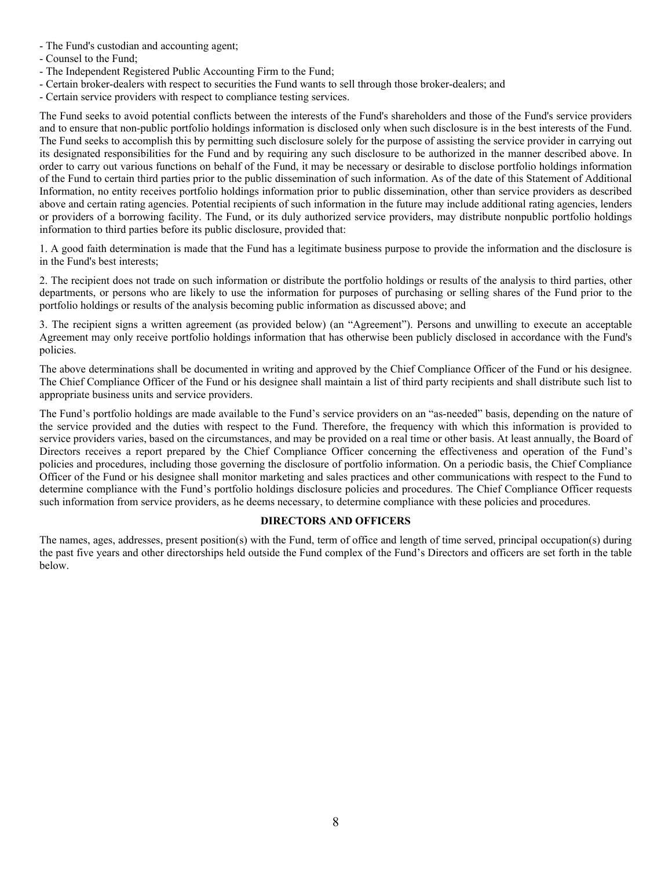- The Fund's custodian and accounting agent;
- Counsel to the Fund;
- The Independent Registered Public Accounting Firm to the Fund;
- Certain broker-dealers with respect to securities the Fund wants to sell through those broker-dealers; and
- Certain service providers with respect to compliance testing services.

The Fund seeks to avoid potential conflicts between the interests of the Fund's shareholders and those of the Fund's service providers and to ensure that non-public portfolio holdings information is disclosed only when such disclosure is in the best interests of the Fund. The Fund seeks to accomplish this by permitting such disclosure solely for the purpose of assisting the service provider in carrying out its designated responsibilities for the Fund and by requiring any such disclosure to be authorized in the manner described above. In order to carry out various functions on behalf of the Fund, it may be necessary or desirable to disclose portfolio holdings information of the Fund to certain third parties prior to the public dissemination of such information. As of the date of this Statement of Additional Information, no entity receives portfolio holdings information prior to public dissemination, other than service providers as described above and certain rating agencies. Potential recipients of such information in the future may include additional rating agencies, lenders or providers of a borrowing facility. The Fund, or its duly authorized service providers, may distribute nonpublic portfolio holdings information to third parties before its public disclosure, provided that:

1. A good faith determination is made that the Fund has a legitimate business purpose to provide the information and the disclosure is in the Fund's best interests;

2. The recipient does not trade on such information or distribute the portfolio holdings or results of the analysis to third parties, other departments, or persons who are likely to use the information for purposes of purchasing or selling shares of the Fund prior to the portfolio holdings or results of the analysis becoming public information as discussed above; and

3. The recipient signs a written agreement (as provided below) (an "Agreement"). Persons and unwilling to execute an acceptable Agreement may only receive portfolio holdings information that has otherwise been publicly disclosed in accordance with the Fund's policies.

The above determinations shall be documented in writing and approved by the Chief Compliance Officer of the Fund or his designee. The Chief Compliance Officer of the Fund or his designee shall maintain a list of third party recipients and shall distribute such list to appropriate business units and service providers.

The Fund's portfolio holdings are made available to the Fund's service providers on an "as-needed" basis, depending on the nature of the service provided and the duties with respect to the Fund. Therefore, the frequency with which this information is provided to service providers varies, based on the circumstances, and may be provided on a real time or other basis. At least annually, the Board of Directors receives a report prepared by the Chief Compliance Officer concerning the effectiveness and operation of the Fund's policies and procedures, including those governing the disclosure of portfolio information. On a periodic basis, the Chief Compliance Officer of the Fund or his designee shall monitor marketing and sales practices and other communications with respect to the Fund to determine compliance with the Fund's portfolio holdings disclosure policies and procedures. The Chief Compliance Officer requests such information from service providers, as he deems necessary, to determine compliance with these policies and procedures.

## **DIRECTORS AND OFFICERS**

The names, ages, addresses, present position(s) with the Fund, term of office and length of time served, principal occupation(s) during the past five years and other directorships held outside the Fund complex of the Fund's Directors and officers are set forth in the table below.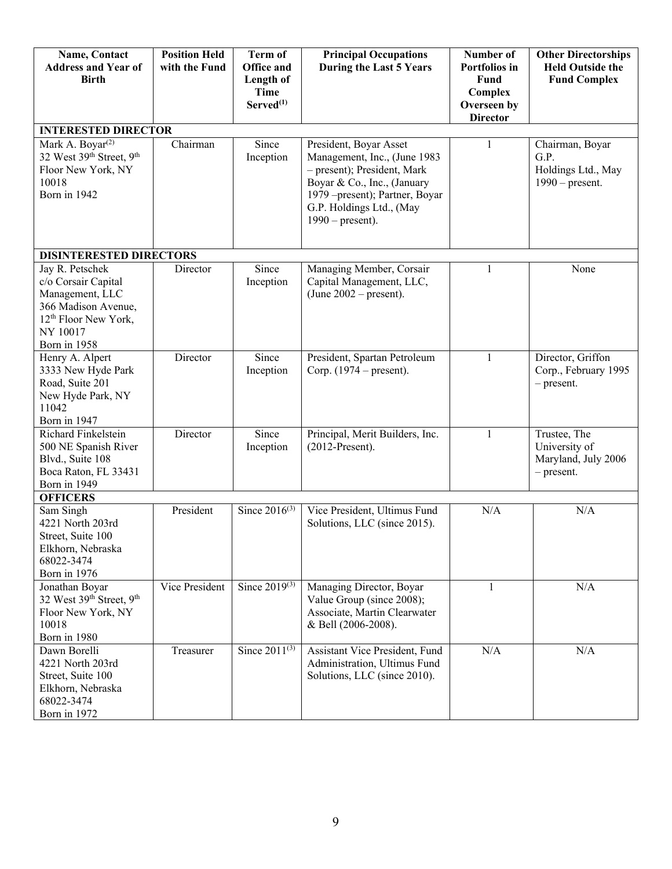| Name, Contact<br><b>Address and Year of</b><br><b>Birth</b>                                                                                      | <b>Position Held</b><br>with the Fund | <b>Term of</b><br><b>Office and</b><br>Length of<br>Time<br>$Served^{(1)}$ | <b>Principal Occupations</b><br>During the Last 5 Years                                                                                                                                                   | Number of<br>Portfolios in<br>Fund<br>Complex<br>Overseen by<br><b>Director</b> | <b>Other Directorships</b><br><b>Held Outside the</b><br><b>Fund Complex</b> |
|--------------------------------------------------------------------------------------------------------------------------------------------------|---------------------------------------|----------------------------------------------------------------------------|-----------------------------------------------------------------------------------------------------------------------------------------------------------------------------------------------------------|---------------------------------------------------------------------------------|------------------------------------------------------------------------------|
| <b>INTERESTED DIRECTOR</b>                                                                                                                       |                                       |                                                                            |                                                                                                                                                                                                           |                                                                                 |                                                                              |
| Mark A. Boyar <sup>(2)</sup><br>32 West 39th Street, 9th<br>Floor New York, NY<br>10018<br>Born in 1942                                          | Chairman                              | Since<br>Inception                                                         | President, Boyar Asset<br>Management, Inc., (June 1983<br>- present); President, Mark<br>Boyar & Co., Inc., (January<br>1979 – present); Partner, Boyar<br>G.P. Holdings Ltd., (May<br>$1990$ – present). | 1                                                                               | Chairman, Boyar<br>G.P.<br>Holdings Ltd., May<br>$1990$ – present.           |
| <b>DISINTERESTED DIRECTORS</b>                                                                                                                   |                                       |                                                                            |                                                                                                                                                                                                           |                                                                                 |                                                                              |
| Jay R. Petschek<br>c/o Corsair Capital<br>Management, LLC<br>366 Madison Avenue,<br>12 <sup>th</sup> Floor New York,<br>NY 10017<br>Born in 1958 | Director                              | Since<br>Inception                                                         | Managing Member, Corsair<br>Capital Management, LLC,<br>(June $2002$ – present).                                                                                                                          | $\mathbf{1}$                                                                    | None                                                                         |
| Henry A. Alpert<br>3333 New Hyde Park<br>Road, Suite 201<br>New Hyde Park, NY<br>11042<br>Born in 1947                                           | Director                              | Since<br>Inception                                                         | President, Spartan Petroleum<br>Corp. $(1974 - present)$ .                                                                                                                                                | $\mathbf{1}$                                                                    | Director, Griffon<br>Corp., February 1995<br>$-$ present.                    |
| Richard Finkelstein<br>500 NE Spanish River<br>Blvd., Suite 108<br>Boca Raton, FL 33431<br>Born in 1949                                          | Director                              | Since<br>Inception                                                         | Principal, Merit Builders, Inc.<br>$(2012-Present).$                                                                                                                                                      | $\mathbf{1}$                                                                    | Trustee, The<br>University of<br>Maryland, July 2006<br>$-$ present.         |
| <b>OFFICERS</b>                                                                                                                                  |                                       |                                                                            |                                                                                                                                                                                                           |                                                                                 |                                                                              |
| Sam Singh<br>4221 North 203rd<br>Street, Suite 100<br>Elkhorn, Nebraska<br>68022-3474<br>Born in 1976                                            | President                             | Since $2016^{(3)}$                                                         | Vice President, Ultimus Fund<br>Solutions, LLC (since 2015).                                                                                                                                              | N/A                                                                             | N/A                                                                          |
| Jonathan Boyar<br>32 West 39th Street, 9th<br>Floor New York, NY<br>10018<br>Born in 1980                                                        | Vice President                        | Since $2019^{(3)}$                                                         | Managing Director, Boyar<br>Value Group (since 2008);<br>Associate, Martin Clearwater<br>& Bell (2006-2008).                                                                                              | 1                                                                               | N/A                                                                          |
| Dawn Borelli<br>4221 North 203rd<br>Street, Suite 100<br>Elkhorn, Nebraska<br>68022-3474<br>Born in 1972                                         | Treasurer                             | Since $2011^{(3)}$                                                         | Assistant Vice President, Fund<br>Administration, Ultimus Fund<br>Solutions, LLC (since 2010).                                                                                                            | N/A                                                                             | N/A                                                                          |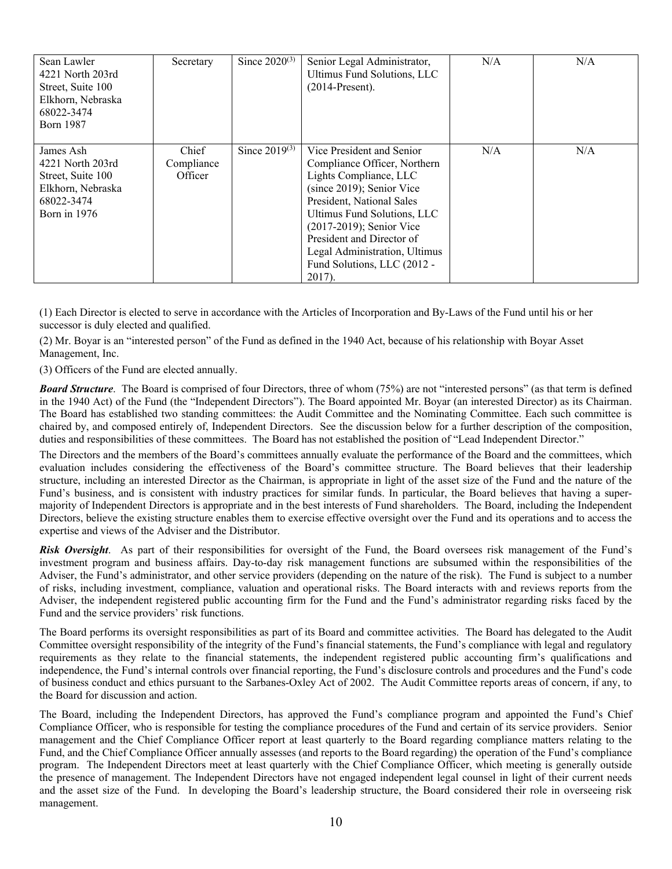| Sean Lawler<br>4221 North 203rd<br>Street, Suite 100<br>Elkhorn, Nebraska<br>68022-3474<br><b>Born 1987</b> | Secretary                      | Since $2020^{(3)}$ | Senior Legal Administrator,<br>Ultimus Fund Solutions, LLC<br>$(2014-Present).$                                                                                                                                                                                                                                    | N/A | N/A |
|-------------------------------------------------------------------------------------------------------------|--------------------------------|--------------------|--------------------------------------------------------------------------------------------------------------------------------------------------------------------------------------------------------------------------------------------------------------------------------------------------------------------|-----|-----|
| James Ash<br>4221 North 203rd<br>Street, Suite 100<br>Elkhorn, Nebraska<br>68022-3474<br>Born in $1976$     | Chief<br>Compliance<br>Officer | Since $2019^{(3)}$ | Vice President and Senior<br>Compliance Officer, Northern<br>Lights Compliance, LLC<br>(since 2019); Senior Vice<br>President, National Sales<br>Ultimus Fund Solutions, LLC<br>(2017-2019); Senior Vice<br>President and Director of<br>Legal Administration, Ultimus<br>Fund Solutions, LLC (2012 -<br>$2017$ ). | N/A | N/A |

(1) Each Director is elected to serve in accordance with the Articles of Incorporation and By-Laws of the Fund until his or her successor is duly elected and qualified.

(2) Mr. Boyar is an "interested person" of the Fund as defined in the 1940 Act, because of his relationship with Boyar Asset Management, Inc.

(3) Officers of the Fund are elected annually.

**Board Structure**. The Board is comprised of four Directors, three of whom (75%) are not "interested persons" (as that term is defined in the 1940 Act) of the Fund (the "Independent Directors"). The Board appointed Mr. Boyar (an interested Director) as its Chairman. The Board has established two standing committees: the Audit Committee and the Nominating Committee. Each such committee is chaired by, and composed entirely of, Independent Directors. See the discussion below for a further description of the composition, duties and responsibilities of these committees. The Board has not established the position of "Lead Independent Director."

The Directors and the members of the Board's committees annually evaluate the performance of the Board and the committees, which evaluation includes considering the effectiveness of the Board's committee structure. The Board believes that their leadership structure, including an interested Director as the Chairman, is appropriate in light of the asset size of the Fund and the nature of the Fund's business, and is consistent with industry practices for similar funds. In particular, the Board believes that having a supermajority of Independent Directors is appropriate and in the best interests of Fund shareholders. The Board, including the Independent Directors, believe the existing structure enables them to exercise effective oversight over the Fund and its operations and to access the expertise and views of the Adviser and the Distributor.

*Risk Oversight*. As part of their responsibilities for oversight of the Fund, the Board oversees risk management of the Fund's investment program and business affairs. Day-to-day risk management functions are subsumed within the responsibilities of the Adviser, the Fund's administrator, and other service providers (depending on the nature of the risk). The Fund is subject to a number of risks, including investment, compliance, valuation and operational risks. The Board interacts with and reviews reports from the Adviser, the independent registered public accounting firm for the Fund and the Fund's administrator regarding risks faced by the Fund and the service providers' risk functions.

The Board performs its oversight responsibilities as part of its Board and committee activities. The Board has delegated to the Audit Committee oversight responsibility of the integrity of the Fund's financial statements, the Fund's compliance with legal and regulatory requirements as they relate to the financial statements, the independent registered public accounting firm's qualifications and independence, the Fund's internal controls over financial reporting, the Fund's disclosure controls and procedures and the Fund's code of business conduct and ethics pursuant to the Sarbanes-Oxley Act of 2002. The Audit Committee reports areas of concern, if any, to the Board for discussion and action.

The Board, including the Independent Directors, has approved the Fund's compliance program and appointed the Fund's Chief Compliance Officer, who is responsible for testing the compliance procedures of the Fund and certain of its service providers. Senior management and the Chief Compliance Officer report at least quarterly to the Board regarding compliance matters relating to the Fund, and the Chief Compliance Officer annually assesses (and reports to the Board regarding) the operation of the Fund's compliance program. The Independent Directors meet at least quarterly with the Chief Compliance Officer, which meeting is generally outside the presence of management. The Independent Directors have not engaged independent legal counsel in light of their current needs and the asset size of the Fund. In developing the Board's leadership structure, the Board considered their role in overseeing risk management.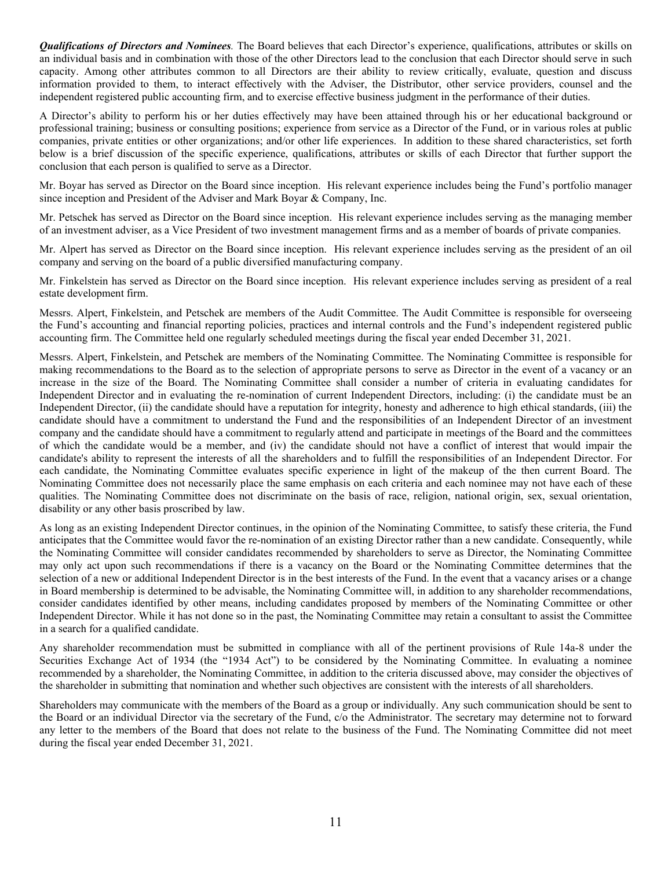*Qualifications of Directors and Nominees.* The Board believes that each Director's experience, qualifications, attributes or skills on an individual basis and in combination with those of the other Directors lead to the conclusion that each Director should serve in such capacity. Among other attributes common to all Directors are their ability to review critically, evaluate, question and discuss information provided to them, to interact effectively with the Adviser, the Distributor, other service providers, counsel and the independent registered public accounting firm, and to exercise effective business judgment in the performance of their duties.

A Director's ability to perform his or her duties effectively may have been attained through his or her educational background or professional training; business or consulting positions; experience from service as a Director of the Fund, or in various roles at public companies, private entities or other organizations; and/or other life experiences. In addition to these shared characteristics, set forth below is a brief discussion of the specific experience, qualifications, attributes or skills of each Director that further support the conclusion that each person is qualified to serve as a Director.

Mr. Boyar has served as Director on the Board since inception. His relevant experience includes being the Fund's portfolio manager since inception and President of the Adviser and Mark Boyar & Company, Inc.

Mr. Petschek has served as Director on the Board since inception. His relevant experience includes serving as the managing member of an investment adviser, as a Vice President of two investment management firms and as a member of boards of private companies.

Mr. Alpert has served as Director on the Board since inception. His relevant experience includes serving as the president of an oil company and serving on the board of a public diversified manufacturing company.

Mr. Finkelstein has served as Director on the Board since inception. His relevant experience includes serving as president of a real estate development firm.

Messrs. Alpert, Finkelstein, and Petschek are members of the Audit Committee. The Audit Committee is responsible for overseeing the Fund's accounting and financial reporting policies, practices and internal controls and the Fund's independent registered public accounting firm. The Committee held one regularly scheduled meetings during the fiscal year ended December 31, 2021.

Messrs. Alpert, Finkelstein, and Petschek are members of the Nominating Committee. The Nominating Committee is responsible for making recommendations to the Board as to the selection of appropriate persons to serve as Director in the event of a vacancy or an increase in the size of the Board. The Nominating Committee shall consider a number of criteria in evaluating candidates for Independent Director and in evaluating the re-nomination of current Independent Directors, including: (i) the candidate must be an Independent Director, (ii) the candidate should have a reputation for integrity, honesty and adherence to high ethical standards, (iii) the candidate should have a commitment to understand the Fund and the responsibilities of an Independent Director of an investment company and the candidate should have a commitment to regularly attend and participate in meetings of the Board and the committees of which the candidate would be a member, and (iv) the candidate should not have a conflict of interest that would impair the candidate's ability to represent the interests of all the shareholders and to fulfill the responsibilities of an Independent Director. For each candidate, the Nominating Committee evaluates specific experience in light of the makeup of the then current Board. The Nominating Committee does not necessarily place the same emphasis on each criteria and each nominee may not have each of these qualities. The Nominating Committee does not discriminate on the basis of race, religion, national origin, sex, sexual orientation, disability or any other basis proscribed by law.

As long as an existing Independent Director continues, in the opinion of the Nominating Committee, to satisfy these criteria, the Fund anticipates that the Committee would favor the re-nomination of an existing Director rather than a new candidate. Consequently, while the Nominating Committee will consider candidates recommended by shareholders to serve as Director, the Nominating Committee may only act upon such recommendations if there is a vacancy on the Board or the Nominating Committee determines that the selection of a new or additional Independent Director is in the best interests of the Fund. In the event that a vacancy arises or a change in Board membership is determined to be advisable, the Nominating Committee will, in addition to any shareholder recommendations, consider candidates identified by other means, including candidates proposed by members of the Nominating Committee or other Independent Director. While it has not done so in the past, the Nominating Committee may retain a consultant to assist the Committee in a search for a qualified candidate.

Any shareholder recommendation must be submitted in compliance with all of the pertinent provisions of Rule 14a-8 under the Securities Exchange Act of 1934 (the "1934 Act") to be considered by the Nominating Committee. In evaluating a nominee recommended by a shareholder, the Nominating Committee, in addition to the criteria discussed above, may consider the objectives of the shareholder in submitting that nomination and whether such objectives are consistent with the interests of all shareholders.

Shareholders may communicate with the members of the Board as a group or individually. Any such communication should be sent to the Board or an individual Director via the secretary of the Fund, c/o the Administrator. The secretary may determine not to forward any letter to the members of the Board that does not relate to the business of the Fund. The Nominating Committee did not meet during the fiscal year ended December 31, 2021.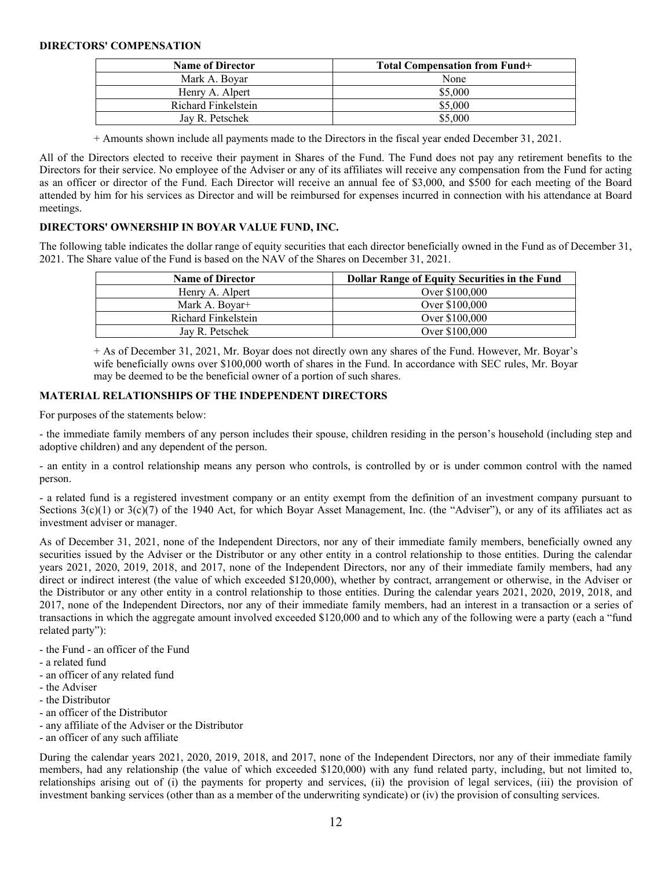#### **DIRECTORS' COMPENSATION**

| <b>Name of Director</b> | <b>Total Compensation from Fund+</b> |
|-------------------------|--------------------------------------|
| Mark A. Bovar           | None                                 |
| Henry A. Alpert         | \$5,000                              |
| Richard Finkelstein     | \$5,000                              |
| Jav R. Petschek         | \$5,000                              |

+ Amounts shown include all payments made to the Directors in the fiscal year ended December 31, 2021.

All of the Directors elected to receive their payment in Shares of the Fund. The Fund does not pay any retirement benefits to the Directors for their service. No employee of the Adviser or any of its affiliates will receive any compensation from the Fund for acting as an officer or director of the Fund. Each Director will receive an annual fee of \$3,000, and \$500 for each meeting of the Board attended by him for his services as Director and will be reimbursed for expenses incurred in connection with his attendance at Board meetings.

## **DIRECTORS' OWNERSHIP IN BOYAR VALUE FUND, INC.**

The following table indicates the dollar range of equity securities that each director beneficially owned in the Fund as of December 31, 2021. The Share value of the Fund is based on the NAV of the Shares on December 31, 2021.

| <b>Name of Director</b>    | <b>Dollar Range of Equity Securities in the Fund</b> |
|----------------------------|------------------------------------------------------|
| Henry A. Alpert            | Over \$100,000                                       |
| Mark A. Boyar <sup>+</sup> | Over \$100,000                                       |
| Richard Finkelstein        | Over \$100,000                                       |
| Jay R. Petschek            | Over \$100,000                                       |

+ As of December 31, 2021, Mr. Boyar does not directly own any shares of the Fund. However, Mr. Boyar's wife beneficially owns over \$100,000 worth of shares in the Fund. In accordance with SEC rules, Mr. Boyar may be deemed to be the beneficial owner of a portion of such shares.

# **MATERIAL RELATIONSHIPS OF THE INDEPENDENT DIRECTORS**

For purposes of the statements below:

- the immediate family members of any person includes their spouse, children residing in the person's household (including step and adoptive children) and any dependent of the person.

- an entity in a control relationship means any person who controls, is controlled by or is under common control with the named person.

- a related fund is a registered investment company or an entity exempt from the definition of an investment company pursuant to Sections  $3(c)(1)$  or  $3(c)(7)$  of the 1940 Act, for which Boyar Asset Management, Inc. (the "Adviser"), or any of its affiliates act as investment adviser or manager.

As of December 31, 2021, none of the Independent Directors, nor any of their immediate family members, beneficially owned any securities issued by the Adviser or the Distributor or any other entity in a control relationship to those entities. During the calendar years 2021, 2020, 2019, 2018, and 2017, none of the Independent Directors, nor any of their immediate family members, had any direct or indirect interest (the value of which exceeded \$120,000), whether by contract, arrangement or otherwise, in the Adviser or the Distributor or any other entity in a control relationship to those entities. During the calendar years 2021, 2020, 2019, 2018, and 2017, none of the Independent Directors, nor any of their immediate family members, had an interest in a transaction or a series of transactions in which the aggregate amount involved exceeded \$120,000 and to which any of the following were a party (each a "fund related party"):

- the Fund an officer of the Fund
- a related fund
- an officer of any related fund
- the Adviser
- the Distributor
- an officer of the Distributor
- any affiliate of the Adviser or the Distributor
- an officer of any such affiliate

During the calendar years 2021, 2020, 2019, 2018, and 2017, none of the Independent Directors, nor any of their immediate family members, had any relationship (the value of which exceeded \$120,000) with any fund related party, including, but not limited to, relationships arising out of (i) the payments for property and services, (ii) the provision of legal services, (iii) the provision of investment banking services (other than as a member of the underwriting syndicate) or (iv) the provision of consulting services.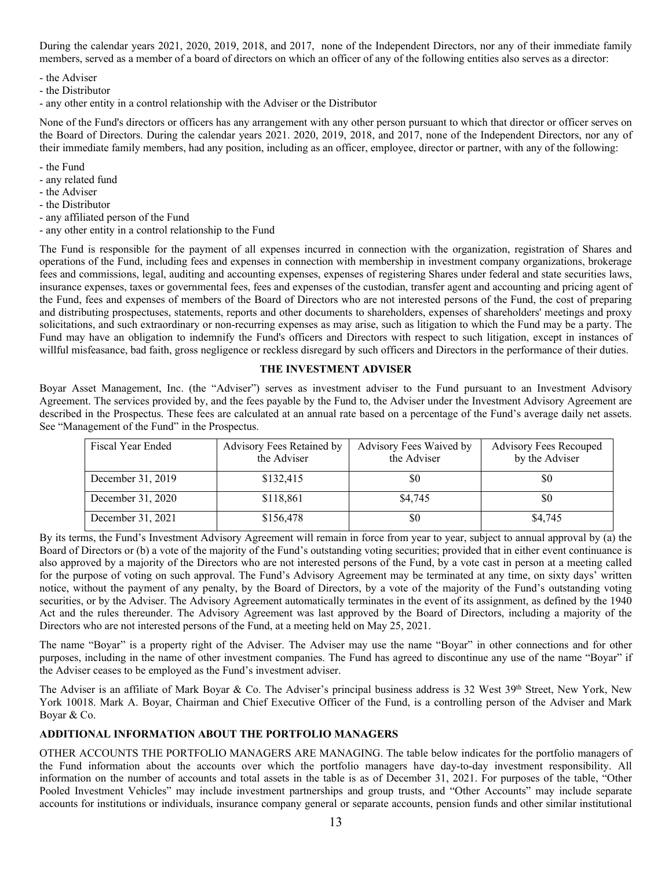During the calendar years 2021, 2020, 2019, 2018, and 2017, none of the Independent Directors, nor any of their immediate family members, served as a member of a board of directors on which an officer of any of the following entities also serves as a director:

- the Adviser
- the Distributor
- any other entity in a control relationship with the Adviser or the Distributor

None of the Fund's directors or officers has any arrangement with any other person pursuant to which that director or officer serves on the Board of Directors. During the calendar years 2021. 2020, 2019, 2018, and 2017, none of the Independent Directors, nor any of their immediate family members, had any position, including as an officer, employee, director or partner, with any of the following:

- the Fund
- any related fund
- the Adviser
- the Distributor
- any affiliated person of the Fund
- any other entity in a control relationship to the Fund

The Fund is responsible for the payment of all expenses incurred in connection with the organization, registration of Shares and operations of the Fund, including fees and expenses in connection with membership in investment company organizations, brokerage fees and commissions, legal, auditing and accounting expenses, expenses of registering Shares under federal and state securities laws, insurance expenses, taxes or governmental fees, fees and expenses of the custodian, transfer agent and accounting and pricing agent of the Fund, fees and expenses of members of the Board of Directors who are not interested persons of the Fund, the cost of preparing and distributing prospectuses, statements, reports and other documents to shareholders, expenses of shareholders' meetings and proxy solicitations, and such extraordinary or non-recurring expenses as may arise, such as litigation to which the Fund may be a party. The Fund may have an obligation to indemnify the Fund's officers and Directors with respect to such litigation, except in instances of willful misfeasance, bad faith, gross negligence or reckless disregard by such officers and Directors in the performance of their duties.

#### **THE INVESTMENT ADVISER**

Boyar Asset Management, Inc. (the "Adviser") serves as investment adviser to the Fund pursuant to an Investment Advisory Agreement. The services provided by, and the fees payable by the Fund to, the Adviser under the Investment Advisory Agreement are described in the Prospectus. These fees are calculated at an annual rate based on a percentage of the Fund's average daily net assets. See "Management of the Fund" in the Prospectus.

| Fiscal Year Ended | Advisory Fees Retained by<br>the Adviser | Advisory Fees Waived by<br>the Adviser | <b>Advisory Fees Recouped</b><br>by the Adviser |
|-------------------|------------------------------------------|----------------------------------------|-------------------------------------------------|
| December 31, 2019 | \$132,415                                | \$0                                    | \$0                                             |
| December 31, 2020 | \$118,861                                | \$4,745                                | \$0                                             |
| December 31, 2021 | \$156,478                                | \$0                                    | \$4,745                                         |

By its terms, the Fund's Investment Advisory Agreement will remain in force from year to year, subject to annual approval by (a) the Board of Directors or (b) a vote of the majority of the Fund's outstanding voting securities; provided that in either event continuance is also approved by a majority of the Directors who are not interested persons of the Fund, by a vote cast in person at a meeting called for the purpose of voting on such approval. The Fund's Advisory Agreement may be terminated at any time, on sixty days' written notice, without the payment of any penalty, by the Board of Directors, by a vote of the majority of the Fund's outstanding voting securities, or by the Adviser. The Advisory Agreement automatically terminates in the event of its assignment, as defined by the 1940 Act and the rules thereunder. The Advisory Agreement was last approved by the Board of Directors, including a majority of the Directors who are not interested persons of the Fund, at a meeting held on May 25, 2021.

The name "Boyar" is a property right of the Adviser. The Adviser may use the name "Boyar" in other connections and for other purposes, including in the name of other investment companies. The Fund has agreed to discontinue any use of the name "Boyar" if the Adviser ceases to be employed as the Fund's investment adviser.

The Adviser is an affiliate of Mark Boyar & Co. The Adviser's principal business address is 32 West 39<sup>th</sup> Street, New York, New York 10018. Mark A. Boyar, Chairman and Chief Executive Officer of the Fund, is a controlling person of the Adviser and Mark Boyar & Co.

# **ADDITIONAL INFORMATION ABOUT THE PORTFOLIO MANAGERS**

OTHER ACCOUNTS THE PORTFOLIO MANAGERS ARE MANAGING. The table below indicates for the portfolio managers of the Fund information about the accounts over which the portfolio managers have day-to-day investment responsibility. All information on the number of accounts and total assets in the table is as of December 31, 2021. For purposes of the table, "Other Pooled Investment Vehicles" may include investment partnerships and group trusts, and "Other Accounts" may include separate accounts for institutions or individuals, insurance company general or separate accounts, pension funds and other similar institutional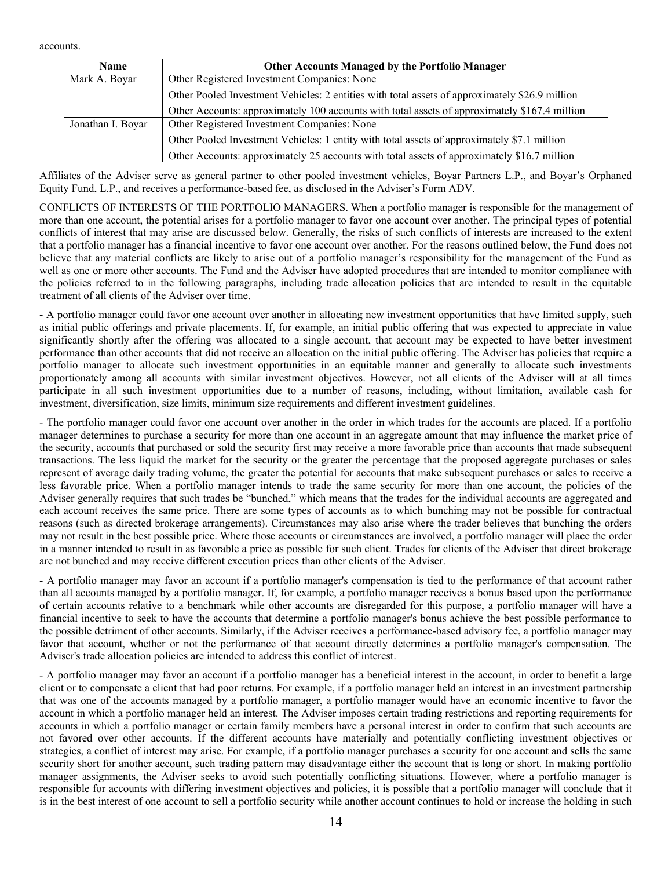accounts.

| <b>Name</b>       | <b>Other Accounts Managed by the Portfolio Manager</b>                                         |
|-------------------|------------------------------------------------------------------------------------------------|
| Mark A. Boyar     | Other Registered Investment Companies: None                                                    |
|                   | Other Pooled Investment Vehicles: 2 entities with total assets of approximately \$26.9 million |
|                   | Other Accounts: approximately 100 accounts with total assets of approximately \$167.4 million  |
| Jonathan I. Boyar | Other Registered Investment Companies: None                                                    |
|                   | Other Pooled Investment Vehicles: 1 entity with total assets of approximately \$7.1 million    |
|                   | Other Accounts: approximately 25 accounts with total assets of approximately \$16.7 million    |

Affiliates of the Adviser serve as general partner to other pooled investment vehicles, Boyar Partners L.P., and Boyar's Orphaned Equity Fund, L.P., and receives a performance-based fee, as disclosed in the Adviser's Form ADV.

CONFLICTS OF INTERESTS OF THE PORTFOLIO MANAGERS. When a portfolio manager is responsible for the management of more than one account, the potential arises for a portfolio manager to favor one account over another. The principal types of potential conflicts of interest that may arise are discussed below. Generally, the risks of such conflicts of interests are increased to the extent that a portfolio manager has a financial incentive to favor one account over another. For the reasons outlined below, the Fund does not believe that any material conflicts are likely to arise out of a portfolio manager's responsibility for the management of the Fund as well as one or more other accounts. The Fund and the Adviser have adopted procedures that are intended to monitor compliance with the policies referred to in the following paragraphs, including trade allocation policies that are intended to result in the equitable treatment of all clients of the Adviser over time.

- A portfolio manager could favor one account over another in allocating new investment opportunities that have limited supply, such as initial public offerings and private placements. If, for example, an initial public offering that was expected to appreciate in value significantly shortly after the offering was allocated to a single account, that account may be expected to have better investment performance than other accounts that did not receive an allocation on the initial public offering. The Adviser has policies that require a portfolio manager to allocate such investment opportunities in an equitable manner and generally to allocate such investments proportionately among all accounts with similar investment objectives. However, not all clients of the Adviser will at all times participate in all such investment opportunities due to a number of reasons, including, without limitation, available cash for investment, diversification, size limits, minimum size requirements and different investment guidelines.

- The portfolio manager could favor one account over another in the order in which trades for the accounts are placed. If a portfolio manager determines to purchase a security for more than one account in an aggregate amount that may influence the market price of the security, accounts that purchased or sold the security first may receive a more favorable price than accounts that made subsequent transactions. The less liquid the market for the security or the greater the percentage that the proposed aggregate purchases or sales represent of average daily trading volume, the greater the potential for accounts that make subsequent purchases or sales to receive a less favorable price. When a portfolio manager intends to trade the same security for more than one account, the policies of the Adviser generally requires that such trades be "bunched," which means that the trades for the individual accounts are aggregated and each account receives the same price. There are some types of accounts as to which bunching may not be possible for contractual reasons (such as directed brokerage arrangements). Circumstances may also arise where the trader believes that bunching the orders may not result in the best possible price. Where those accounts or circumstances are involved, a portfolio manager will place the order in a manner intended to result in as favorable a price as possible for such client. Trades for clients of the Adviser that direct brokerage are not bunched and may receive different execution prices than other clients of the Adviser.

- A portfolio manager may favor an account if a portfolio manager's compensation is tied to the performance of that account rather than all accounts managed by a portfolio manager. If, for example, a portfolio manager receives a bonus based upon the performance of certain accounts relative to a benchmark while other accounts are disregarded for this purpose, a portfolio manager will have a financial incentive to seek to have the accounts that determine a portfolio manager's bonus achieve the best possible performance to the possible detriment of other accounts. Similarly, if the Adviser receives a performance-based advisory fee, a portfolio manager may favor that account, whether or not the performance of that account directly determines a portfolio manager's compensation. The Adviser's trade allocation policies are intended to address this conflict of interest.

- A portfolio manager may favor an account if a portfolio manager has a beneficial interest in the account, in order to benefit a large client or to compensate a client that had poor returns. For example, if a portfolio manager held an interest in an investment partnership that was one of the accounts managed by a portfolio manager, a portfolio manager would have an economic incentive to favor the account in which a portfolio manager held an interest. The Adviser imposes certain trading restrictions and reporting requirements for accounts in which a portfolio manager or certain family members have a personal interest in order to confirm that such accounts are not favored over other accounts. If the different accounts have materially and potentially conflicting investment objectives or strategies, a conflict of interest may arise. For example, if a portfolio manager purchases a security for one account and sells the same security short for another account, such trading pattern may disadvantage either the account that is long or short. In making portfolio manager assignments, the Adviser seeks to avoid such potentially conflicting situations. However, where a portfolio manager is responsible for accounts with differing investment objectives and policies, it is possible that a portfolio manager will conclude that it is in the best interest of one account to sell a portfolio security while another account continues to hold or increase the holding in such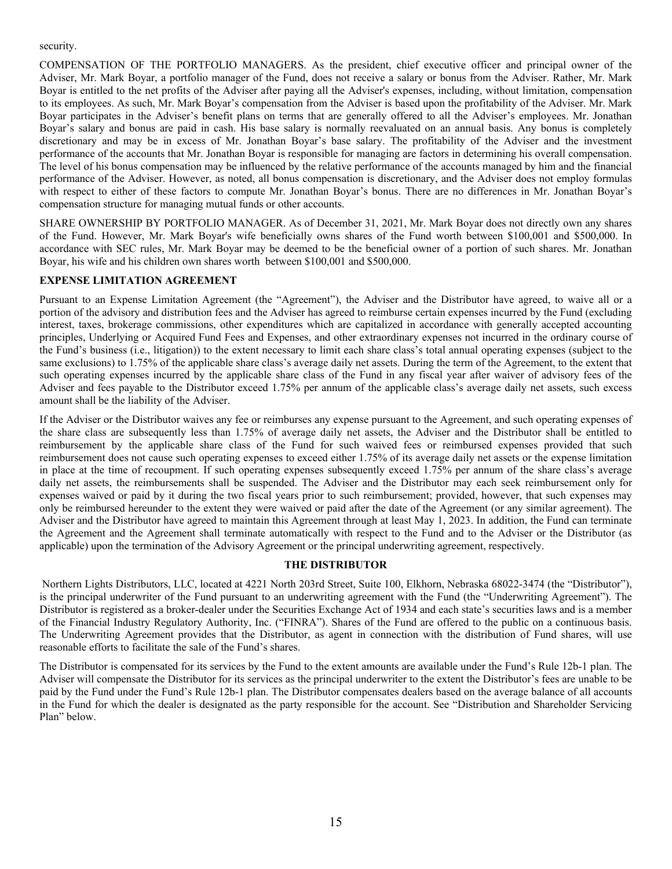security.

COMPENSATION OF THE PORTFOLIO MANAGERS. As the president, chief executive officer and principal owner of the Adviser, Mr. Mark Boyar, a portfolio manager of the Fund, does not receive a salary or bonus from the Adviser. Rather, Mr. Mark Boyar is entitled to the net profits of the Adviser after paying all the Adviser's expenses, including, without limitation, compensation to its employees. As such, Mr. Mark Boyar's compensation from the Adviser is based upon the profitability of the Adviser. Mr. Mark Boyar participates in the Adviser's benefit plans on terms that are generally offered to all the Adviser's employees. Mr. Jonathan Boyar's salary and bonus are paid in cash. His base salary is normally reevaluated on an annual basis. Any bonus is completely discretionary and may be in excess of Mr. Jonathan Boyar's base salary. The profitability of the Adviser and the investment performance of the accounts that Mr. Jonathan Boyar is responsible for managing are factors in determining his overall compensation. The level of his bonus compensation may be influenced by the relative performance of the accounts managed by him and the financial performance of the Adviser. However, as noted, all bonus compensation is discretionary, and the Adviser does not employ formulas with respect to either of these factors to compute Mr. Jonathan Boyar's bonus. There are no differences in Mr. Jonathan Boyar's compensation structure for managing mutual funds or other accounts.

SHARE OWNERSHIP BY PORTFOLIO MANAGER. As of December 31, 2021, Mr. Mark Boyar does not directly own any shares of the Fund. However, Mr. Mark Boyar's wife beneficially owns shares of the Fund worth between \$100,001 and \$500,000. In accordance with SEC rules, Mr. Mark Boyar may be deemed to be the beneficial owner of a portion of such shares. Mr. Jonathan Boyar, his wife and his children own shares worth between \$100,001 and \$500,000.

# **EXPENSE LIMITATION AGREEMENT**

Pursuant to an Expense Limitation Agreement (the "Agreement"), the Adviser and the Distributor have agreed, to waive all or a portion of the advisory and distribution fees and the Adviser has agreed to reimburse certain expenses incurred by the Fund (excluding interest, taxes, brokerage commissions, other expenditures which are capitalized in accordance with generally accepted accounting principles, Underlying or Acquired Fund Fees and Expenses, and other extraordinary expenses not incurred in the ordinary course of the Fund's business (i.e., litigation)) to the extent necessary to limit each share class's total annual operating expenses (subject to the same exclusions) to 1.75% of the applicable share class's average daily net assets. During the term of the Agreement, to the extent that such operating expenses incurred by the applicable share class of the Fund in any fiscal year after waiver of advisory fees of the Adviser and fees payable to the Distributor exceed 1.75% per annum of the applicable class's average daily net assets, such excess amount shall be the liability of the Adviser.

If the Adviser or the Distributor waives any fee or reimburses any expense pursuant to the Agreement, and such operating expenses of the share class are subsequently less than 1.75% of average daily net assets, the Adviser and the Distributor shall be entitled to reimbursement by the applicable share class of the Fund for such waived fees or reimbursed expenses provided that such reimbursement does not cause such operating expenses to exceed either 1.75% of its average daily net assets or the expense limitation in place at the time of recoupment. If such operating expenses subsequently exceed 1.75% per annum of the share class's average daily net assets, the reimbursements shall be suspended. The Adviser and the Distributor may each seek reimbursement only for expenses waived or paid by it during the two fiscal years prior to such reimbursement; provided, however, that such expenses may only be reimbursed hereunder to the extent they were waived or paid after the date of the Agreement (or any similar agreement). The Adviser and the Distributor have agreed to maintain this Agreement through at least May 1, 2023. In addition, the Fund can terminate the Agreement and the Agreement shall terminate automatically with respect to the Fund and to the Adviser or the Distributor (as applicable) upon the termination of the Advisory Agreement or the principal underwriting agreement, respectively.

## **THE DISTRIBUTOR**

 Northern Lights Distributors, LLC, located at 4221 North 203rd Street, Suite 100, Elkhorn, Nebraska 68022-3474 (the "Distributor"), is the principal underwriter of the Fund pursuant to an underwriting agreement with the Fund (the "Underwriting Agreement"). The Distributor is registered as a broker-dealer under the Securities Exchange Act of 1934 and each state's securities laws and is a member of the Financial Industry Regulatory Authority, Inc. ("FINRA"). Shares of the Fund are offered to the public on a continuous basis. The Underwriting Agreement provides that the Distributor, as agent in connection with the distribution of Fund shares, will use reasonable efforts to facilitate the sale of the Fund's shares.

The Distributor is compensated for its services by the Fund to the extent amounts are available under the Fund's Rule 12b-1 plan. The Adviser will compensate the Distributor for its services as the principal underwriter to the extent the Distributor's fees are unable to be paid by the Fund under the Fund's Rule 12b-1 plan. The Distributor compensates dealers based on the average balance of all accounts in the Fund for which the dealer is designated as the party responsible for the account. See "Distribution and Shareholder Servicing Plan" below.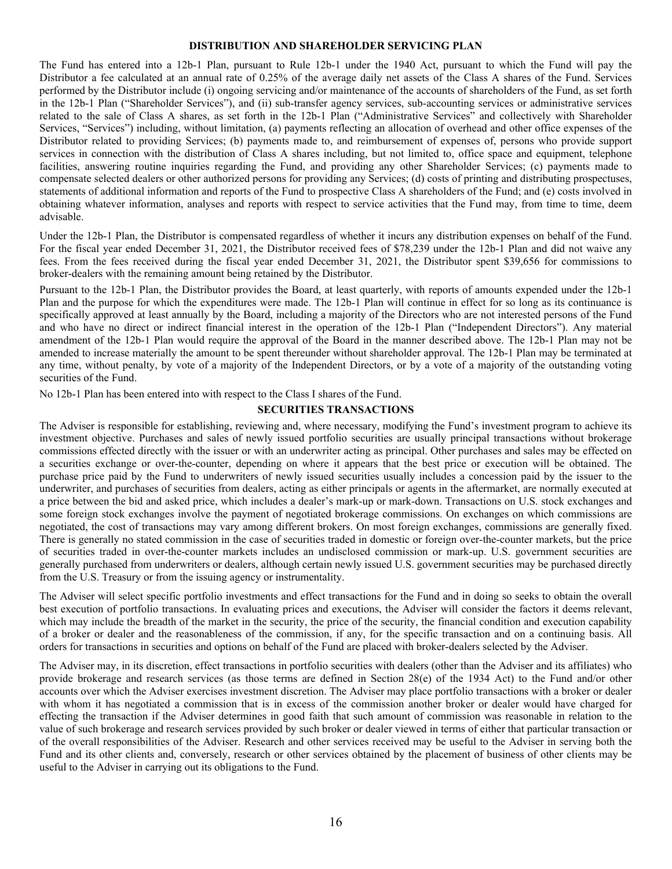#### **DISTRIBUTION AND SHAREHOLDER SERVICING PLAN**

The Fund has entered into a 12b-1 Plan, pursuant to Rule 12b-1 under the 1940 Act, pursuant to which the Fund will pay the Distributor a fee calculated at an annual rate of 0.25% of the average daily net assets of the Class A shares of the Fund. Services performed by the Distributor include (i) ongoing servicing and/or maintenance of the accounts of shareholders of the Fund, as set forth in the 12b-1 Plan ("Shareholder Services"), and (ii) sub-transfer agency services, sub-accounting services or administrative services related to the sale of Class A shares, as set forth in the 12b-1 Plan ("Administrative Services" and collectively with Shareholder Services, "Services") including, without limitation, (a) payments reflecting an allocation of overhead and other office expenses of the Distributor related to providing Services; (b) payments made to, and reimbursement of expenses of, persons who provide support services in connection with the distribution of Class A shares including, but not limited to, office space and equipment, telephone facilities, answering routine inquiries regarding the Fund, and providing any other Shareholder Services; (c) payments made to compensate selected dealers or other authorized persons for providing any Services; (d) costs of printing and distributing prospectuses, statements of additional information and reports of the Fund to prospective Class A shareholders of the Fund; and (e) costs involved in obtaining whatever information, analyses and reports with respect to service activities that the Fund may, from time to time, deem advisable.

Under the 12b-1 Plan, the Distributor is compensated regardless of whether it incurs any distribution expenses on behalf of the Fund. For the fiscal year ended December 31, 2021, the Distributor received fees of \$78,239 under the 12b-1 Plan and did not waive any fees. From the fees received during the fiscal year ended December 31, 2021, the Distributor spent \$39,656 for commissions to broker-dealers with the remaining amount being retained by the Distributor.

Pursuant to the 12b-1 Plan, the Distributor provides the Board, at least quarterly, with reports of amounts expended under the 12b-1 Plan and the purpose for which the expenditures were made. The 12b-1 Plan will continue in effect for so long as its continuance is specifically approved at least annually by the Board, including a majority of the Directors who are not interested persons of the Fund and who have no direct or indirect financial interest in the operation of the 12b-1 Plan ("Independent Directors"). Any material amendment of the 12b-1 Plan would require the approval of the Board in the manner described above. The 12b-1 Plan may not be amended to increase materially the amount to be spent thereunder without shareholder approval. The 12b-1 Plan may be terminated at any time, without penalty, by vote of a majority of the Independent Directors, or by a vote of a majority of the outstanding voting securities of the Fund.

No 12b-1 Plan has been entered into with respect to the Class I shares of the Fund.

#### **SECURITIES TRANSACTIONS**

The Adviser is responsible for establishing, reviewing and, where necessary, modifying the Fund's investment program to achieve its investment objective. Purchases and sales of newly issued portfolio securities are usually principal transactions without brokerage commissions effected directly with the issuer or with an underwriter acting as principal. Other purchases and sales may be effected on a securities exchange or over-the-counter, depending on where it appears that the best price or execution will be obtained. The purchase price paid by the Fund to underwriters of newly issued securities usually includes a concession paid by the issuer to the underwriter, and purchases of securities from dealers, acting as either principals or agents in the aftermarket, are normally executed at a price between the bid and asked price, which includes a dealer's mark-up or mark-down. Transactions on U.S. stock exchanges and some foreign stock exchanges involve the payment of negotiated brokerage commissions. On exchanges on which commissions are negotiated, the cost of transactions may vary among different brokers. On most foreign exchanges, commissions are generally fixed. There is generally no stated commission in the case of securities traded in domestic or foreign over-the-counter markets, but the price of securities traded in over-the-counter markets includes an undisclosed commission or mark-up. U.S. government securities are generally purchased from underwriters or dealers, although certain newly issued U.S. government securities may be purchased directly from the U.S. Treasury or from the issuing agency or instrumentality.

The Adviser will select specific portfolio investments and effect transactions for the Fund and in doing so seeks to obtain the overall best execution of portfolio transactions. In evaluating prices and executions, the Adviser will consider the factors it deems relevant, which may include the breadth of the market in the security, the price of the security, the financial condition and execution capability of a broker or dealer and the reasonableness of the commission, if any, for the specific transaction and on a continuing basis. All orders for transactions in securities and options on behalf of the Fund are placed with broker-dealers selected by the Adviser.

The Adviser may, in its discretion, effect transactions in portfolio securities with dealers (other than the Adviser and its affiliates) who provide brokerage and research services (as those terms are defined in Section 28(e) of the 1934 Act) to the Fund and/or other accounts over which the Adviser exercises investment discretion. The Adviser may place portfolio transactions with a broker or dealer with whom it has negotiated a commission that is in excess of the commission another broker or dealer would have charged for effecting the transaction if the Adviser determines in good faith that such amount of commission was reasonable in relation to the value of such brokerage and research services provided by such broker or dealer viewed in terms of either that particular transaction or of the overall responsibilities of the Adviser. Research and other services received may be useful to the Adviser in serving both the Fund and its other clients and, conversely, research or other services obtained by the placement of business of other clients may be useful to the Adviser in carrying out its obligations to the Fund.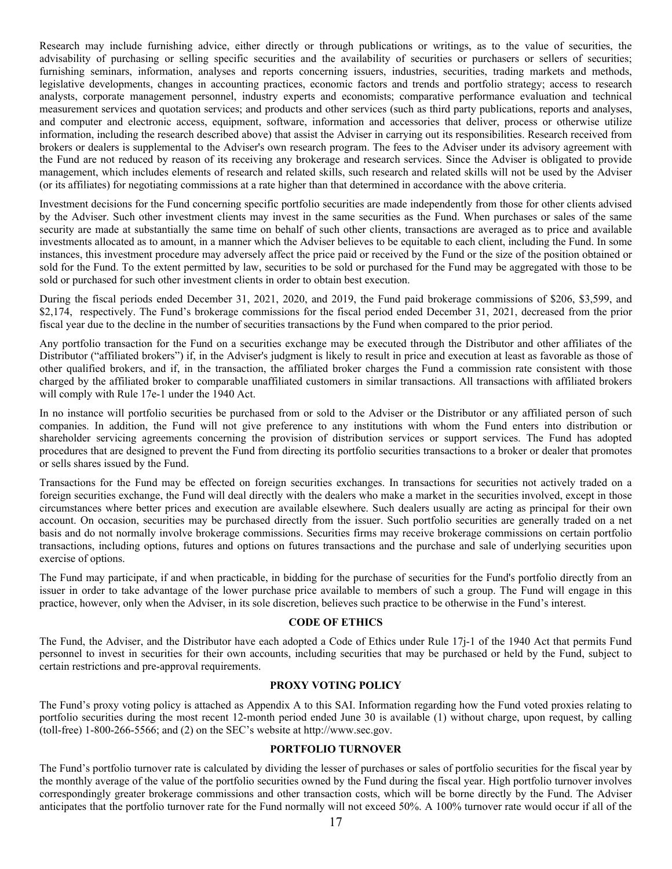Research may include furnishing advice, either directly or through publications or writings, as to the value of securities, the advisability of purchasing or selling specific securities and the availability of securities or purchasers or sellers of securities; furnishing seminars, information, analyses and reports concerning issuers, industries, securities, trading markets and methods, legislative developments, changes in accounting practices, economic factors and trends and portfolio strategy; access to research analysts, corporate management personnel, industry experts and economists; comparative performance evaluation and technical measurement services and quotation services; and products and other services (such as third party publications, reports and analyses, and computer and electronic access, equipment, software, information and accessories that deliver, process or otherwise utilize information, including the research described above) that assist the Adviser in carrying out its responsibilities. Research received from brokers or dealers is supplemental to the Adviser's own research program. The fees to the Adviser under its advisory agreement with the Fund are not reduced by reason of its receiving any brokerage and research services. Since the Adviser is obligated to provide management, which includes elements of research and related skills, such research and related skills will not be used by the Adviser (or its affiliates) for negotiating commissions at a rate higher than that determined in accordance with the above criteria.

Investment decisions for the Fund concerning specific portfolio securities are made independently from those for other clients advised by the Adviser. Such other investment clients may invest in the same securities as the Fund. When purchases or sales of the same security are made at substantially the same time on behalf of such other clients, transactions are averaged as to price and available investments allocated as to amount, in a manner which the Adviser believes to be equitable to each client, including the Fund. In some instances, this investment procedure may adversely affect the price paid or received by the Fund or the size of the position obtained or sold for the Fund. To the extent permitted by law, securities to be sold or purchased for the Fund may be aggregated with those to be sold or purchased for such other investment clients in order to obtain best execution.

During the fiscal periods ended December 31, 2021, 2020, and 2019, the Fund paid brokerage commissions of \$206, \$3,599, and \$2,174, respectively. The Fund's brokerage commissions for the fiscal period ended December 31, 2021, decreased from the prior fiscal year due to the decline in the number of securities transactions by the Fund when compared to the prior period.

Any portfolio transaction for the Fund on a securities exchange may be executed through the Distributor and other affiliates of the Distributor ("affiliated brokers") if, in the Adviser's judgment is likely to result in price and execution at least as favorable as those of other qualified brokers, and if, in the transaction, the affiliated broker charges the Fund a commission rate consistent with those charged by the affiliated broker to comparable unaffiliated customers in similar transactions. All transactions with affiliated brokers will comply with Rule 17e-1 under the 1940 Act.

In no instance will portfolio securities be purchased from or sold to the Adviser or the Distributor or any affiliated person of such companies. In addition, the Fund will not give preference to any institutions with whom the Fund enters into distribution or shareholder servicing agreements concerning the provision of distribution services or support services. The Fund has adopted procedures that are designed to prevent the Fund from directing its portfolio securities transactions to a broker or dealer that promotes or sells shares issued by the Fund.

Transactions for the Fund may be effected on foreign securities exchanges. In transactions for securities not actively traded on a foreign securities exchange, the Fund will deal directly with the dealers who make a market in the securities involved, except in those circumstances where better prices and execution are available elsewhere. Such dealers usually are acting as principal for their own account. On occasion, securities may be purchased directly from the issuer. Such portfolio securities are generally traded on a net basis and do not normally involve brokerage commissions. Securities firms may receive brokerage commissions on certain portfolio transactions, including options, futures and options on futures transactions and the purchase and sale of underlying securities upon exercise of options.

The Fund may participate, if and when practicable, in bidding for the purchase of securities for the Fund's portfolio directly from an issuer in order to take advantage of the lower purchase price available to members of such a group. The Fund will engage in this practice, however, only when the Adviser, in its sole discretion, believes such practice to be otherwise in the Fund's interest.

# **CODE OF ETHICS**

The Fund, the Adviser, and the Distributor have each adopted a Code of Ethics under Rule 17j-1 of the 1940 Act that permits Fund personnel to invest in securities for their own accounts, including securities that may be purchased or held by the Fund, subject to certain restrictions and pre-approval requirements.

#### **PROXY VOTING POLICY**

The Fund's proxy voting policy is attached as Appendix A to this SAI. Information regarding how the Fund voted proxies relating to portfolio securities during the most recent 12-month period ended June 30 is available (1) without charge, upon request, by calling (toll-free) 1-800-266-5566; and (2) on the SEC's website at http://www.sec.gov.

#### **PORTFOLIO TURNOVER**

The Fund's portfolio turnover rate is calculated by dividing the lesser of purchases or sales of portfolio securities for the fiscal year by the monthly average of the value of the portfolio securities owned by the Fund during the fiscal year. High portfolio turnover involves correspondingly greater brokerage commissions and other transaction costs, which will be borne directly by the Fund. The Adviser anticipates that the portfolio turnover rate for the Fund normally will not exceed 50%. A 100% turnover rate would occur if all of the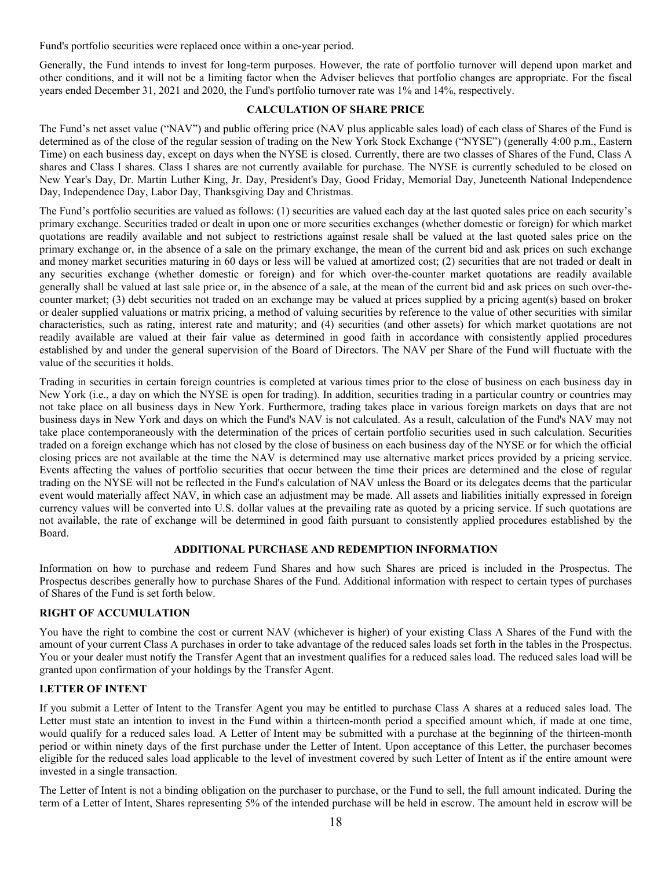Fund's portfolio securities were replaced once within a one-year period.

Generally, the Fund intends to invest for long-term purposes. However, the rate of portfolio turnover will depend upon market and other conditions, and it will not be a limiting factor when the Adviser believes that portfolio changes are appropriate. For the fiscal years ended December 31, 2021 and 2020, the Fund's portfolio turnover rate was 1% and 14%, respectively.

#### **CALCULATION OF SHARE PRICE**

The Fund's net asset value ("NAV") and public offering price (NAV plus applicable sales load) of each class of Shares of the Fund is determined as of the close of the regular session of trading on the New York Stock Exchange ("NYSE") (generally 4:00 p.m., Eastern Time) on each business day, except on days when the NYSE is closed. Currently, there are two classes of Shares of the Fund, Class A shares and Class I shares. Class I shares are not currently available for purchase. The NYSE is currently scheduled to be closed on New Year's Day, Dr. Martin Luther King, Jr. Day, President's Day, Good Friday, Memorial Day, Juneteenth National Independence Day, Independence Day, Labor Day, Thanksgiving Day and Christmas.

The Fund's portfolio securities are valued as follows: (1) securities are valued each day at the last quoted sales price on each security's primary exchange. Securities traded or dealt in upon one or more securities exchanges (whether domestic or foreign) for which market quotations are readily available and not subject to restrictions against resale shall be valued at the last quoted sales price on the primary exchange or, in the absence of a sale on the primary exchange, the mean of the current bid and ask prices on such exchange and money market securities maturing in 60 days or less will be valued at amortized cost; (2) securities that are not traded or dealt in any securities exchange (whether domestic or foreign) and for which over-the-counter market quotations are readily available generally shall be valued at last sale price or, in the absence of a sale, at the mean of the current bid and ask prices on such over-thecounter market; (3) debt securities not traded on an exchange may be valued at prices supplied by a pricing agent(s) based on broker or dealer supplied valuations or matrix pricing, a method of valuing securities by reference to the value of other securities with similar characteristics, such as rating, interest rate and maturity; and (4) securities (and other assets) for which market quotations are not readily available are valued at their fair value as determined in good faith in accordance with consistently applied procedures established by and under the general supervision of the Board of Directors. The NAV per Share of the Fund will fluctuate with the value of the securities it holds.

Trading in securities in certain foreign countries is completed at various times prior to the close of business on each business day in New York (i.e., a day on which the NYSE is open for trading). In addition, securities trading in a particular country or countries may not take place on all business days in New York. Furthermore, trading takes place in various foreign markets on days that are not business days in New York and days on which the Fund's NAV is not calculated. As a result, calculation of the Fund's NAV may not take place contemporaneously with the determination of the prices of certain portfolio securities used in such calculation. Securities traded on a foreign exchange which has not closed by the close of business on each business day of the NYSE or for which the official closing prices are not available at the time the NAV is determined may use alternative market prices provided by a pricing service. Events affecting the values of portfolio securities that occur between the time their prices are determined and the close of regular trading on the NYSE will not be reflected in the Fund's calculation of NAV unless the Board or its delegates deems that the particular event would materially affect NAV, in which case an adjustment may be made. All assets and liabilities initially expressed in foreign currency values will be converted into U.S. dollar values at the prevailing rate as quoted by a pricing service. If such quotations are not available, the rate of exchange will be determined in good faith pursuant to consistently applied procedures established by the Board.

# **ADDITIONAL PURCHASE AND REDEMPTION INFORMATION**

Information on how to purchase and redeem Fund Shares and how such Shares are priced is included in the Prospectus. The Prospectus describes generally how to purchase Shares of the Fund. Additional information with respect to certain types of purchases of Shares of the Fund is set forth below.

## **RIGHT OF ACCUMULATION**

You have the right to combine the cost or current NAV (whichever is higher) of your existing Class A Shares of the Fund with the amount of your current Class A purchases in order to take advantage of the reduced sales loads set forth in the tables in the Prospectus. You or your dealer must notify the Transfer Agent that an investment qualifies for a reduced sales load. The reduced sales load will be granted upon confirmation of your holdings by the Transfer Agent.

## **LETTER OF INTENT**

If you submit a Letter of Intent to the Transfer Agent you may be entitled to purchase Class A shares at a reduced sales load. The Letter must state an intention to invest in the Fund within a thirteen-month period a specified amount which, if made at one time, would qualify for a reduced sales load. A Letter of Intent may be submitted with a purchase at the beginning of the thirteen-month period or within ninety days of the first purchase under the Letter of Intent. Upon acceptance of this Letter, the purchaser becomes eligible for the reduced sales load applicable to the level of investment covered by such Letter of Intent as if the entire amount were invested in a single transaction.

The Letter of Intent is not a binding obligation on the purchaser to purchase, or the Fund to sell, the full amount indicated. During the term of a Letter of Intent, Shares representing 5% of the intended purchase will be held in escrow. The amount held in escrow will be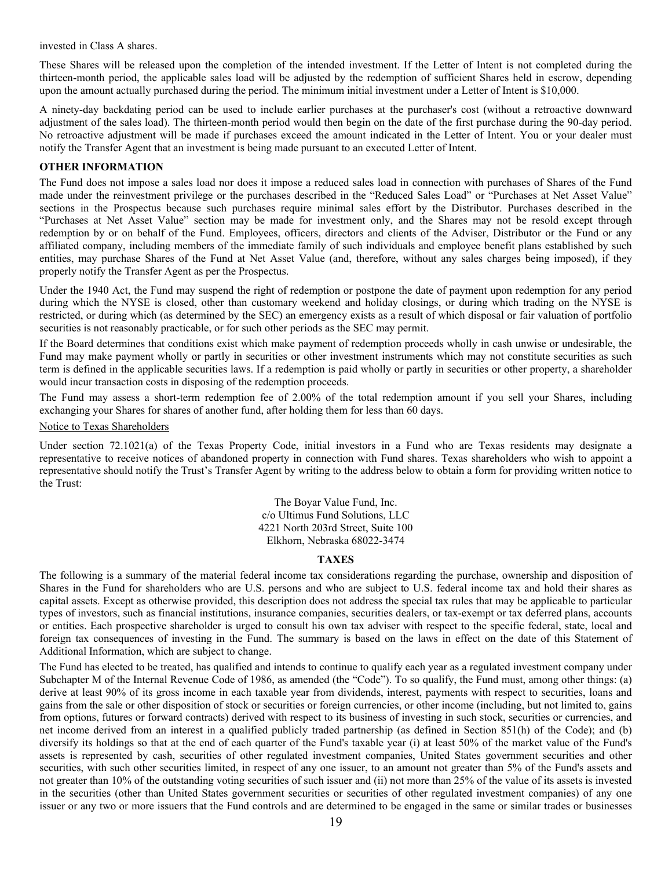invested in Class A shares.

These Shares will be released upon the completion of the intended investment. If the Letter of Intent is not completed during the thirteen-month period, the applicable sales load will be adjusted by the redemption of sufficient Shares held in escrow, depending upon the amount actually purchased during the period. The minimum initial investment under a Letter of Intent is \$10,000.

A ninety-day backdating period can be used to include earlier purchases at the purchaser's cost (without a retroactive downward adjustment of the sales load). The thirteen-month period would then begin on the date of the first purchase during the 90-day period. No retroactive adjustment will be made if purchases exceed the amount indicated in the Letter of Intent. You or your dealer must notify the Transfer Agent that an investment is being made pursuant to an executed Letter of Intent.

# **OTHER INFORMATION**

The Fund does not impose a sales load nor does it impose a reduced sales load in connection with purchases of Shares of the Fund made under the reinvestment privilege or the purchases described in the "Reduced Sales Load" or "Purchases at Net Asset Value" sections in the Prospectus because such purchases require minimal sales effort by the Distributor. Purchases described in the "Purchases at Net Asset Value" section may be made for investment only, and the Shares may not be resold except through redemption by or on behalf of the Fund. Employees, officers, directors and clients of the Adviser, Distributor or the Fund or any affiliated company, including members of the immediate family of such individuals and employee benefit plans established by such entities, may purchase Shares of the Fund at Net Asset Value (and, therefore, without any sales charges being imposed), if they properly notify the Transfer Agent as per the Prospectus.

Under the 1940 Act, the Fund may suspend the right of redemption or postpone the date of payment upon redemption for any period during which the NYSE is closed, other than customary weekend and holiday closings, or during which trading on the NYSE is restricted, or during which (as determined by the SEC) an emergency exists as a result of which disposal or fair valuation of portfolio securities is not reasonably practicable, or for such other periods as the SEC may permit.

If the Board determines that conditions exist which make payment of redemption proceeds wholly in cash unwise or undesirable, the Fund may make payment wholly or partly in securities or other investment instruments which may not constitute securities as such term is defined in the applicable securities laws. If a redemption is paid wholly or partly in securities or other property, a shareholder would incur transaction costs in disposing of the redemption proceeds.

The Fund may assess a short-term redemption fee of 2.00% of the total redemption amount if you sell your Shares, including exchanging your Shares for shares of another fund, after holding them for less than 60 days.

#### Notice to Texas Shareholders

Under section 72.1021(a) of the Texas Property Code, initial investors in a Fund who are Texas residents may designate a representative to receive notices of abandoned property in connection with Fund shares. Texas shareholders who wish to appoint a representative should notify the Trust's Transfer Agent by writing to the address below to obtain a form for providing written notice to the Trust:

> The Boyar Value Fund, Inc. c/o Ultimus Fund Solutions, LLC 4221 North 203rd Street, Suite 100 Elkhorn, Nebraska 68022-3474

#### **TAXES**

The following is a summary of the material federal income tax considerations regarding the purchase, ownership and disposition of Shares in the Fund for shareholders who are U.S. persons and who are subject to U.S. federal income tax and hold their shares as capital assets. Except as otherwise provided, this description does not address the special tax rules that may be applicable to particular types of investors, such as financial institutions, insurance companies, securities dealers, or tax-exempt or tax deferred plans, accounts or entities. Each prospective shareholder is urged to consult his own tax adviser with respect to the specific federal, state, local and foreign tax consequences of investing in the Fund. The summary is based on the laws in effect on the date of this Statement of Additional Information, which are subject to change.

The Fund has elected to be treated, has qualified and intends to continue to qualify each year as a regulated investment company under Subchapter M of the Internal Revenue Code of 1986, as amended (the "Code"). To so qualify, the Fund must, among other things: (a) derive at least 90% of its gross income in each taxable year from dividends, interest, payments with respect to securities, loans and gains from the sale or other disposition of stock or securities or foreign currencies, or other income (including, but not limited to, gains from options, futures or forward contracts) derived with respect to its business of investing in such stock, securities or currencies, and net income derived from an interest in a qualified publicly traded partnership (as defined in Section 851(h) of the Code); and (b) diversify its holdings so that at the end of each quarter of the Fund's taxable year (i) at least 50% of the market value of the Fund's assets is represented by cash, securities of other regulated investment companies, United States government securities and other securities, with such other securities limited, in respect of any one issuer, to an amount not greater than 5% of the Fund's assets and not greater than 10% of the outstanding voting securities of such issuer and (ii) not more than 25% of the value of its assets is invested in the securities (other than United States government securities or securities of other regulated investment companies) of any one issuer or any two or more issuers that the Fund controls and are determined to be engaged in the same or similar trades or businesses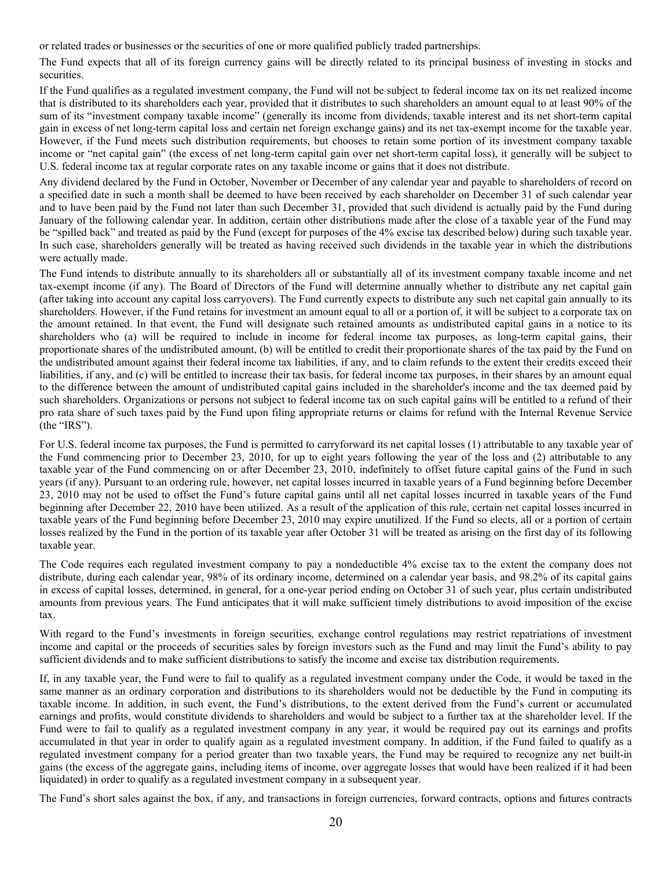or related trades or businesses or the securities of one or more qualified publicly traded partnerships.

The Fund expects that all of its foreign currency gains will be directly related to its principal business of investing in stocks and securities.

If the Fund qualifies as a regulated investment company, the Fund will not be subject to federal income tax on its net realized income that is distributed to its shareholders each year, provided that it distributes to such shareholders an amount equal to at least 90% of the sum of its "investment company taxable income" (generally its income from dividends, taxable interest and its net short-term capital gain in excess of net long-term capital loss and certain net foreign exchange gains) and its net tax-exempt income for the taxable year. However, if the Fund meets such distribution requirements, but chooses to retain some portion of its investment company taxable income or "net capital gain" (the excess of net long-term capital gain over net short-term capital loss), it generally will be subject to U.S. federal income tax at regular corporate rates on any taxable income or gains that it does not distribute.

Any dividend declared by the Fund in October, November or December of any calendar year and payable to shareholders of record on a specified date in such a month shall be deemed to have been received by each shareholder on December 31 of such calendar year and to have been paid by the Fund not later than such December 31, provided that such dividend is actually paid by the Fund during January of the following calendar year. In addition, certain other distributions made after the close of a taxable year of the Fund may be "spilled back" and treated as paid by the Fund (except for purposes of the 4% excise tax described below) during such taxable year. In such case, shareholders generally will be treated as having received such dividends in the taxable year in which the distributions were actually made.

The Fund intends to distribute annually to its shareholders all or substantially all of its investment company taxable income and net tax-exempt income (if any). The Board of Directors of the Fund will determine annually whether to distribute any net capital gain (after taking into account any capital loss carryovers). The Fund currently expects to distribute any such net capital gain annually to its shareholders. However, if the Fund retains for investment an amount equal to all or a portion of, it will be subject to a corporate tax on the amount retained. In that event, the Fund will designate such retained amounts as undistributed capital gains in a notice to its shareholders who (a) will be required to include in income for federal income tax purposes, as long-term capital gains, their proportionate shares of the undistributed amount, (b) will be entitled to credit their proportionate shares of the tax paid by the Fund on the undistributed amount against their federal income tax liabilities, if any, and to claim refunds to the extent their credits exceed their liabilities, if any, and (c) will be entitled to increase their tax basis, for federal income tax purposes, in their shares by an amount equal to the difference between the amount of undistributed capital gains included in the shareholder's income and the tax deemed paid by such shareholders. Organizations or persons not subject to federal income tax on such capital gains will be entitled to a refund of their pro rata share of such taxes paid by the Fund upon filing appropriate returns or claims for refund with the Internal Revenue Service (the "IRS").

For U.S. federal income tax purposes, the Fund is permitted to carryforward its net capital losses (1) attributable to any taxable year of the Fund commencing prior to December 23, 2010, for up to eight years following the year of the loss and (2) attributable to any taxable year of the Fund commencing on or after December 23, 2010, indefinitely to offset future capital gains of the Fund in such years (if any). Pursuant to an ordering rule, however, net capital losses incurred in taxable years of a Fund beginning before December 23, 2010 may not be used to offset the Fund's future capital gains until all net capital losses incurred in taxable years of the Fund beginning after December 22, 2010 have been utilized. As a result of the application of this rule, certain net capital losses incurred in taxable years of the Fund beginning before December 23, 2010 may expire unutilized. If the Fund so elects, all or a portion of certain losses realized by the Fund in the portion of its taxable year after October 31 will be treated as arising on the first day of its following taxable year.

The Code requires each regulated investment company to pay a nondeductible 4% excise tax to the extent the company does not distribute, during each calendar year, 98% of its ordinary income, determined on a calendar year basis, and 98.2% of its capital gains in excess of capital losses, determined, in general, for a one-year period ending on October 31 of such year, plus certain undistributed amounts from previous years. The Fund anticipates that it will make sufficient timely distributions to avoid imposition of the excise tax.

With regard to the Fund's investments in foreign securities, exchange control regulations may restrict repatriations of investment income and capital or the proceeds of securities sales by foreign investors such as the Fund and may limit the Fund's ability to pay sufficient dividends and to make sufficient distributions to satisfy the income and excise tax distribution requirements.

If, in any taxable year, the Fund were to fail to qualify as a regulated investment company under the Code, it would be taxed in the same manner as an ordinary corporation and distributions to its shareholders would not be deductible by the Fund in computing its taxable income. In addition, in such event, the Fund's distributions, to the extent derived from the Fund's current or accumulated earnings and profits, would constitute dividends to shareholders and would be subject to a further tax at the shareholder level. If the Fund were to fail to qualify as a regulated investment company in any year, it would be required pay out its earnings and profits accumulated in that year in order to qualify again as a regulated investment company. In addition, if the Fund failed to qualify as a regulated investment company for a period greater than two taxable years, the Fund may be required to recognize any net built-in gains (the excess of the aggregate gains, including items of income, over aggregate losses that would have been realized if it had been liquidated) in order to qualify as a regulated investment company in a subsequent year.

The Fund's short sales against the box, if any, and transactions in foreign currencies, forward contracts, options and futures contracts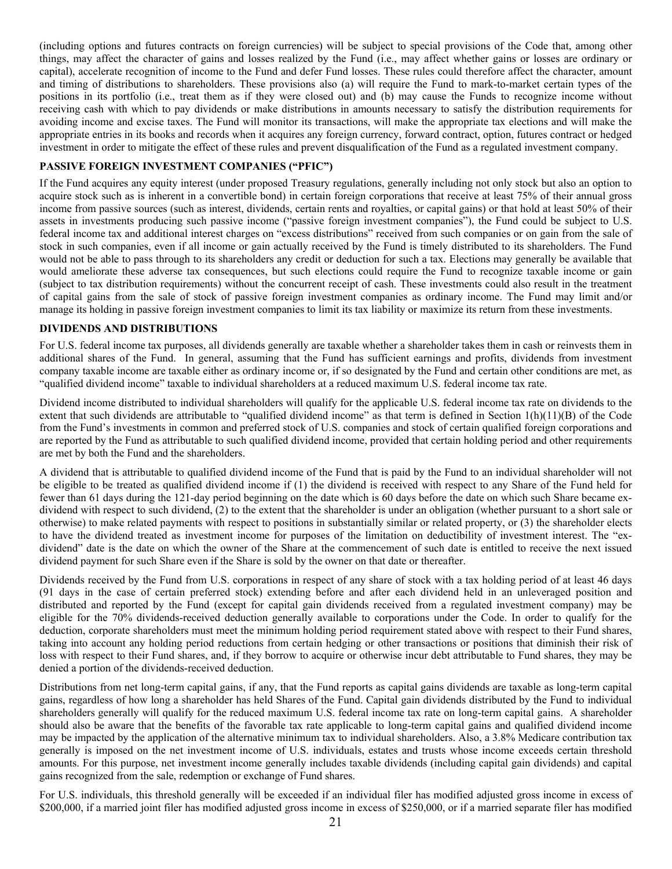(including options and futures contracts on foreign currencies) will be subject to special provisions of the Code that, among other things, may affect the character of gains and losses realized by the Fund (i.e., may affect whether gains or losses are ordinary or capital), accelerate recognition of income to the Fund and defer Fund losses. These rules could therefore affect the character, amount and timing of distributions to shareholders. These provisions also (a) will require the Fund to mark-to-market certain types of the positions in its portfolio (i.e., treat them as if they were closed out) and (b) may cause the Funds to recognize income without receiving cash with which to pay dividends or make distributions in amounts necessary to satisfy the distribution requirements for avoiding income and excise taxes. The Fund will monitor its transactions, will make the appropriate tax elections and will make the appropriate entries in its books and records when it acquires any foreign currency, forward contract, option, futures contract or hedged investment in order to mitigate the effect of these rules and prevent disqualification of the Fund as a regulated investment company.

# **PASSIVE FOREIGN INVESTMENT COMPANIES ("PFIC")**

If the Fund acquires any equity interest (under proposed Treasury regulations, generally including not only stock but also an option to acquire stock such as is inherent in a convertible bond) in certain foreign corporations that receive at least 75% of their annual gross income from passive sources (such as interest, dividends, certain rents and royalties, or capital gains) or that hold at least 50% of their assets in investments producing such passive income ("passive foreign investment companies"), the Fund could be subject to U.S. federal income tax and additional interest charges on "excess distributions" received from such companies or on gain from the sale of stock in such companies, even if all income or gain actually received by the Fund is timely distributed to its shareholders. The Fund would not be able to pass through to its shareholders any credit or deduction for such a tax. Elections may generally be available that would ameliorate these adverse tax consequences, but such elections could require the Fund to recognize taxable income or gain (subject to tax distribution requirements) without the concurrent receipt of cash. These investments could also result in the treatment of capital gains from the sale of stock of passive foreign investment companies as ordinary income. The Fund may limit and/or manage its holding in passive foreign investment companies to limit its tax liability or maximize its return from these investments.

## **DIVIDENDS AND DISTRIBUTIONS**

For U.S. federal income tax purposes, all dividends generally are taxable whether a shareholder takes them in cash or reinvests them in additional shares of the Fund. In general, assuming that the Fund has sufficient earnings and profits, dividends from investment company taxable income are taxable either as ordinary income or, if so designated by the Fund and certain other conditions are met, as "qualified dividend income" taxable to individual shareholders at a reduced maximum U.S. federal income tax rate.

Dividend income distributed to individual shareholders will qualify for the applicable U.S. federal income tax rate on dividends to the extent that such dividends are attributable to "qualified dividend income" as that term is defined in Section 1(h)(11)(B) of the Code from the Fund's investments in common and preferred stock of U.S. companies and stock of certain qualified foreign corporations and are reported by the Fund as attributable to such qualified dividend income, provided that certain holding period and other requirements are met by both the Fund and the shareholders.

A dividend that is attributable to qualified dividend income of the Fund that is paid by the Fund to an individual shareholder will not be eligible to be treated as qualified dividend income if (1) the dividend is received with respect to any Share of the Fund held for fewer than 61 days during the 121-day period beginning on the date which is 60 days before the date on which such Share became exdividend with respect to such dividend, (2) to the extent that the shareholder is under an obligation (whether pursuant to a short sale or otherwise) to make related payments with respect to positions in substantially similar or related property, or (3) the shareholder elects to have the dividend treated as investment income for purposes of the limitation on deductibility of investment interest. The "exdividend" date is the date on which the owner of the Share at the commencement of such date is entitled to receive the next issued dividend payment for such Share even if the Share is sold by the owner on that date or thereafter.

Dividends received by the Fund from U.S. corporations in respect of any share of stock with a tax holding period of at least 46 days (91 days in the case of certain preferred stock) extending before and after each dividend held in an unleveraged position and distributed and reported by the Fund (except for capital gain dividends received from a regulated investment company) may be eligible for the 70% dividends-received deduction generally available to corporations under the Code. In order to qualify for the deduction, corporate shareholders must meet the minimum holding period requirement stated above with respect to their Fund shares, taking into account any holding period reductions from certain hedging or other transactions or positions that diminish their risk of loss with respect to their Fund shares, and, if they borrow to acquire or otherwise incur debt attributable to Fund shares, they may be denied a portion of the dividends-received deduction.

Distributions from net long-term capital gains, if any, that the Fund reports as capital gains dividends are taxable as long-term capital gains, regardless of how long a shareholder has held Shares of the Fund. Capital gain dividends distributed by the Fund to individual shareholders generally will qualify for the reduced maximum U.S. federal income tax rate on long-term capital gains. A shareholder should also be aware that the benefits of the favorable tax rate applicable to long-term capital gains and qualified dividend income may be impacted by the application of the alternative minimum tax to individual shareholders. Also, a 3.8% Medicare contribution tax generally is imposed on the net investment income of U.S. individuals, estates and trusts whose income exceeds certain threshold amounts. For this purpose, net investment income generally includes taxable dividends (including capital gain dividends) and capital gains recognized from the sale, redemption or exchange of Fund shares.

For U.S. individuals, this threshold generally will be exceeded if an individual filer has modified adjusted gross income in excess of \$200,000, if a married joint filer has modified adjusted gross income in excess of \$250,000, or if a married separate filer has modified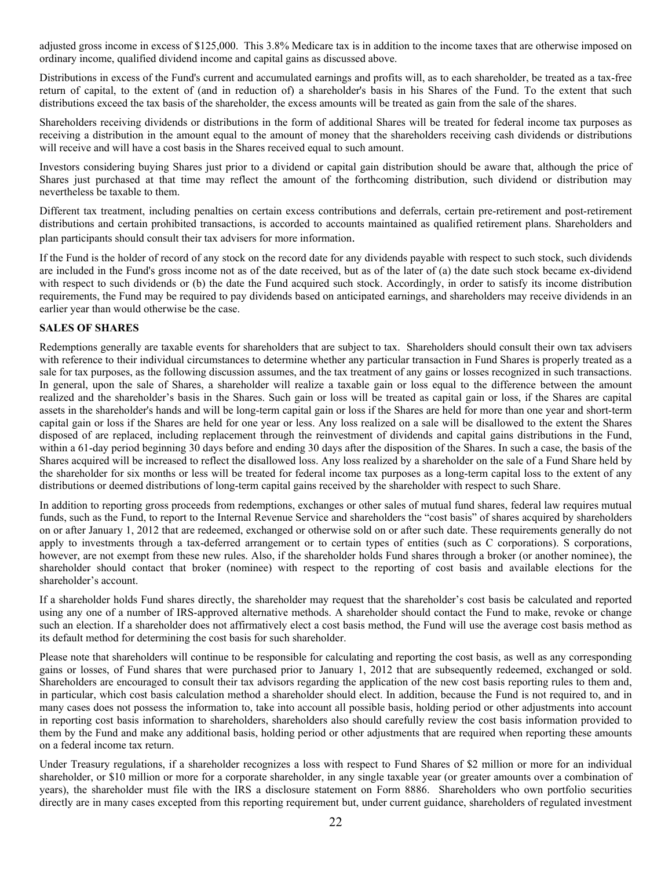adjusted gross income in excess of \$125,000. This 3.8% Medicare tax is in addition to the income taxes that are otherwise imposed on ordinary income, qualified dividend income and capital gains as discussed above.

Distributions in excess of the Fund's current and accumulated earnings and profits will, as to each shareholder, be treated as a tax-free return of capital, to the extent of (and in reduction of) a shareholder's basis in his Shares of the Fund. To the extent that such distributions exceed the tax basis of the shareholder, the excess amounts will be treated as gain from the sale of the shares.

Shareholders receiving dividends or distributions in the form of additional Shares will be treated for federal income tax purposes as receiving a distribution in the amount equal to the amount of money that the shareholders receiving cash dividends or distributions will receive and will have a cost basis in the Shares received equal to such amount.

Investors considering buying Shares just prior to a dividend or capital gain distribution should be aware that, although the price of Shares just purchased at that time may reflect the amount of the forthcoming distribution, such dividend or distribution may nevertheless be taxable to them.

Different tax treatment, including penalties on certain excess contributions and deferrals, certain pre-retirement and post-retirement distributions and certain prohibited transactions, is accorded to accounts maintained as qualified retirement plans. Shareholders and plan participants should consult their tax advisers for more information.

If the Fund is the holder of record of any stock on the record date for any dividends payable with respect to such stock, such dividends are included in the Fund's gross income not as of the date received, but as of the later of (a) the date such stock became ex-dividend with respect to such dividends or (b) the date the Fund acquired such stock. Accordingly, in order to satisfy its income distribution requirements, the Fund may be required to pay dividends based on anticipated earnings, and shareholders may receive dividends in an earlier year than would otherwise be the case.

# **SALES OF SHARES**

Redemptions generally are taxable events for shareholders that are subject to tax. Shareholders should consult their own tax advisers with reference to their individual circumstances to determine whether any particular transaction in Fund Shares is properly treated as a sale for tax purposes, as the following discussion assumes, and the tax treatment of any gains or losses recognized in such transactions. In general, upon the sale of Shares, a shareholder will realize a taxable gain or loss equal to the difference between the amount realized and the shareholder's basis in the Shares. Such gain or loss will be treated as capital gain or loss, if the Shares are capital assets in the shareholder's hands and will be long-term capital gain or loss if the Shares are held for more than one year and short-term capital gain or loss if the Shares are held for one year or less. Any loss realized on a sale will be disallowed to the extent the Shares disposed of are replaced, including replacement through the reinvestment of dividends and capital gains distributions in the Fund, within a 61-day period beginning 30 days before and ending 30 days after the disposition of the Shares. In such a case, the basis of the Shares acquired will be increased to reflect the disallowed loss. Any loss realized by a shareholder on the sale of a Fund Share held by the shareholder for six months or less will be treated for federal income tax purposes as a long-term capital loss to the extent of any distributions or deemed distributions of long-term capital gains received by the shareholder with respect to such Share.

In addition to reporting gross proceeds from redemptions, exchanges or other sales of mutual fund shares, federal law requires mutual funds, such as the Fund, to report to the Internal Revenue Service and shareholders the "cost basis" of shares acquired by shareholders on or after January 1, 2012 that are redeemed, exchanged or otherwise sold on or after such date. These requirements generally do not apply to investments through a tax-deferred arrangement or to certain types of entities (such as C corporations). S corporations, however, are not exempt from these new rules. Also, if the shareholder holds Fund shares through a broker (or another nominee), the shareholder should contact that broker (nominee) with respect to the reporting of cost basis and available elections for the shareholder's account.

If a shareholder holds Fund shares directly, the shareholder may request that the shareholder's cost basis be calculated and reported using any one of a number of IRS-approved alternative methods. A shareholder should contact the Fund to make, revoke or change such an election. If a shareholder does not affirmatively elect a cost basis method, the Fund will use the average cost basis method as its default method for determining the cost basis for such shareholder.

Please note that shareholders will continue to be responsible for calculating and reporting the cost basis, as well as any corresponding gains or losses, of Fund shares that were purchased prior to January 1, 2012 that are subsequently redeemed, exchanged or sold. Shareholders are encouraged to consult their tax advisors regarding the application of the new cost basis reporting rules to them and, in particular, which cost basis calculation method a shareholder should elect. In addition, because the Fund is not required to, and in many cases does not possess the information to, take into account all possible basis, holding period or other adjustments into account in reporting cost basis information to shareholders, shareholders also should carefully review the cost basis information provided to them by the Fund and make any additional basis, holding period or other adjustments that are required when reporting these amounts on a federal income tax return.

Under Treasury regulations, if a shareholder recognizes a loss with respect to Fund Shares of \$2 million or more for an individual shareholder, or \$10 million or more for a corporate shareholder, in any single taxable year (or greater amounts over a combination of years), the shareholder must file with the IRS a disclosure statement on Form 8886. Shareholders who own portfolio securities directly are in many cases excepted from this reporting requirement but, under current guidance, shareholders of regulated investment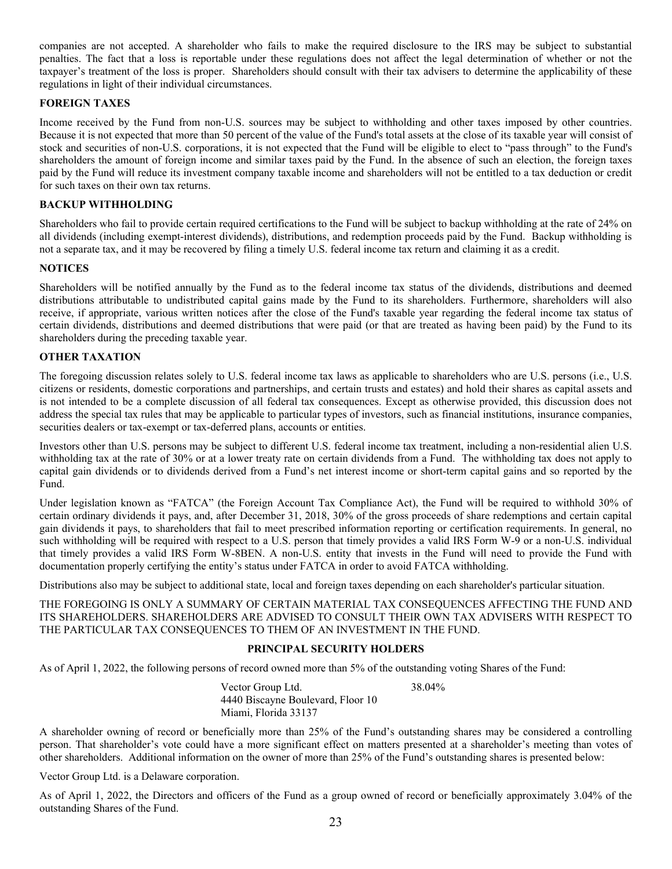companies are not accepted. A shareholder who fails to make the required disclosure to the IRS may be subject to substantial penalties. The fact that a loss is reportable under these regulations does not affect the legal determination of whether or not the taxpayer's treatment of the loss is proper. Shareholders should consult with their tax advisers to determine the applicability of these regulations in light of their individual circumstances.

# **FOREIGN TAXES**

Income received by the Fund from non-U.S. sources may be subject to withholding and other taxes imposed by other countries. Because it is not expected that more than 50 percent of the value of the Fund's total assets at the close of its taxable year will consist of stock and securities of non-U.S. corporations, it is not expected that the Fund will be eligible to elect to "pass through" to the Fund's shareholders the amount of foreign income and similar taxes paid by the Fund. In the absence of such an election, the foreign taxes paid by the Fund will reduce its investment company taxable income and shareholders will not be entitled to a tax deduction or credit for such taxes on their own tax returns.

## **BACKUP WITHHOLDING**

Shareholders who fail to provide certain required certifications to the Fund will be subject to backup withholding at the rate of 24% on all dividends (including exempt-interest dividends), distributions, and redemption proceeds paid by the Fund. Backup withholding is not a separate tax, and it may be recovered by filing a timely U.S. federal income tax return and claiming it as a credit.

## **NOTICES**

Shareholders will be notified annually by the Fund as to the federal income tax status of the dividends, distributions and deemed distributions attributable to undistributed capital gains made by the Fund to its shareholders. Furthermore, shareholders will also receive, if appropriate, various written notices after the close of the Fund's taxable year regarding the federal income tax status of certain dividends, distributions and deemed distributions that were paid (or that are treated as having been paid) by the Fund to its shareholders during the preceding taxable year.

# **OTHER TAXATION**

The foregoing discussion relates solely to U.S. federal income tax laws as applicable to shareholders who are U.S. persons (i.e., U.S. citizens or residents, domestic corporations and partnerships, and certain trusts and estates) and hold their shares as capital assets and is not intended to be a complete discussion of all federal tax consequences. Except as otherwise provided, this discussion does not address the special tax rules that may be applicable to particular types of investors, such as financial institutions, insurance companies, securities dealers or tax-exempt or tax-deferred plans, accounts or entities.

Investors other than U.S. persons may be subject to different U.S. federal income tax treatment, including a non-residential alien U.S. withholding tax at the rate of 30% or at a lower treaty rate on certain dividends from a Fund. The withholding tax does not apply to capital gain dividends or to dividends derived from a Fund's net interest income or short-term capital gains and so reported by the Fund.

Under legislation known as "FATCA" (the Foreign Account Tax Compliance Act), the Fund will be required to withhold 30% of certain ordinary dividends it pays, and, after December 31, 2018, 30% of the gross proceeds of share redemptions and certain capital gain dividends it pays, to shareholders that fail to meet prescribed information reporting or certification requirements. In general, no such withholding will be required with respect to a U.S. person that timely provides a valid IRS Form W-9 or a non-U.S. individual that timely provides a valid IRS Form W-8BEN. A non-U.S. entity that invests in the Fund will need to provide the Fund with documentation properly certifying the entity's status under FATCA in order to avoid FATCA withholding.

Distributions also may be subject to additional state, local and foreign taxes depending on each shareholder's particular situation.

THE FOREGOING IS ONLY A SUMMARY OF CERTAIN MATERIAL TAX CONSEQUENCES AFFECTING THE FUND AND ITS SHAREHOLDERS. SHAREHOLDERS ARE ADVISED TO CONSULT THEIR OWN TAX ADVISERS WITH RESPECT TO THE PARTICULAR TAX CONSEQUENCES TO THEM OF AN INVESTMENT IN THE FUND.

## **PRINCIPAL SECURITY HOLDERS**

As of April 1, 2022, the following persons of record owned more than 5% of the outstanding voting Shares of the Fund:

Vector Group Ltd. 4440 Biscayne Boulevard, Floor 10 Miami, Florida 33137 38.04%

A shareholder owning of record or beneficially more than 25% of the Fund's outstanding shares may be considered a controlling person. That shareholder's vote could have a more significant effect on matters presented at a shareholder's meeting than votes of other shareholders. Additional information on the owner of more than 25% of the Fund's outstanding shares is presented below:

Vector Group Ltd. is a Delaware corporation.

As of April 1, 2022, the Directors and officers of the Fund as a group owned of record or beneficially approximately 3.04% of the outstanding Shares of the Fund.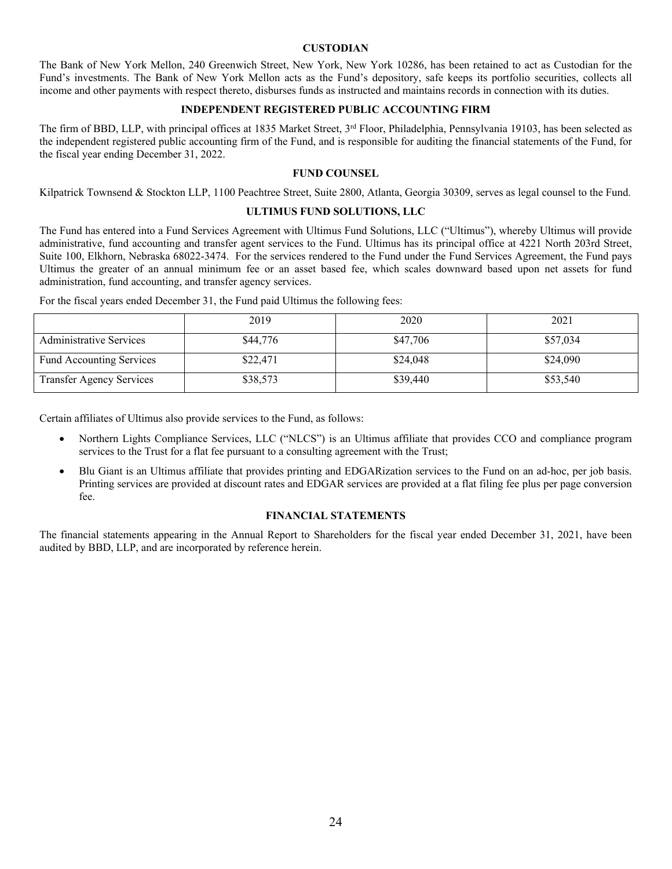#### **CUSTODIAN**

The Bank of New York Mellon, 240 Greenwich Street, New York, New York 10286, has been retained to act as Custodian for the Fund's investments. The Bank of New York Mellon acts as the Fund's depository, safe keeps its portfolio securities, collects all income and other payments with respect thereto, disburses funds as instructed and maintains records in connection with its duties.

#### **INDEPENDENT REGISTERED PUBLIC ACCOUNTING FIRM**

The firm of BBD, LLP, with principal offices at 1835 Market Street, 3<sup>rd</sup> Floor, Philadelphia, Pennsylvania 19103, has been selected as the independent registered public accounting firm of the Fund, and is responsible for auditing the financial statements of the Fund, for the fiscal year ending December 31, 2022.

#### **FUND COUNSEL**

Kilpatrick Townsend & Stockton LLP, 1100 Peachtree Street, Suite 2800, Atlanta, Georgia 30309, serves as legal counsel to the Fund.

#### **ULTIMUS FUND SOLUTIONS, LLC**

The Fund has entered into a Fund Services Agreement with Ultimus Fund Solutions, LLC ("Ultimus"), whereby Ultimus will provide administrative, fund accounting and transfer agent services to the Fund. Ultimus has its principal office at 4221 North 203rd Street, Suite 100, Elkhorn, Nebraska 68022-3474. For the services rendered to the Fund under the Fund Services Agreement, the Fund pays Ultimus the greater of an annual minimum fee or an asset based fee, which scales downward based upon net assets for fund administration, fund accounting, and transfer agency services.

For the fiscal years ended December 31, the Fund paid Ultimus the following fees:

|                                 | 2019     | 2020     | 2021     |
|---------------------------------|----------|----------|----------|
| <b>Administrative Services</b>  | \$44,776 | \$47,706 | \$57,034 |
| Fund Accounting Services        | \$22,471 | \$24,048 | \$24,090 |
| <b>Transfer Agency Services</b> | \$38,573 | \$39,440 | \$53,540 |

Certain affiliates of Ultimus also provide services to the Fund, as follows:

- Northern Lights Compliance Services, LLC ("NLCS") is an Ultimus affiliate that provides CCO and compliance program services to the Trust for a flat fee pursuant to a consulting agreement with the Trust;
- Blu Giant is an Ultimus affiliate that provides printing and EDGARization services to the Fund on an ad-hoc, per job basis. Printing services are provided at discount rates and EDGAR services are provided at a flat filing fee plus per page conversion fee.

#### **FINANCIAL STATEMENTS**

The financial statements appearing in the Annual Report to Shareholders for the fiscal year ended December 31, 2021, have been audited by BBD, LLP, and are incorporated by reference herein.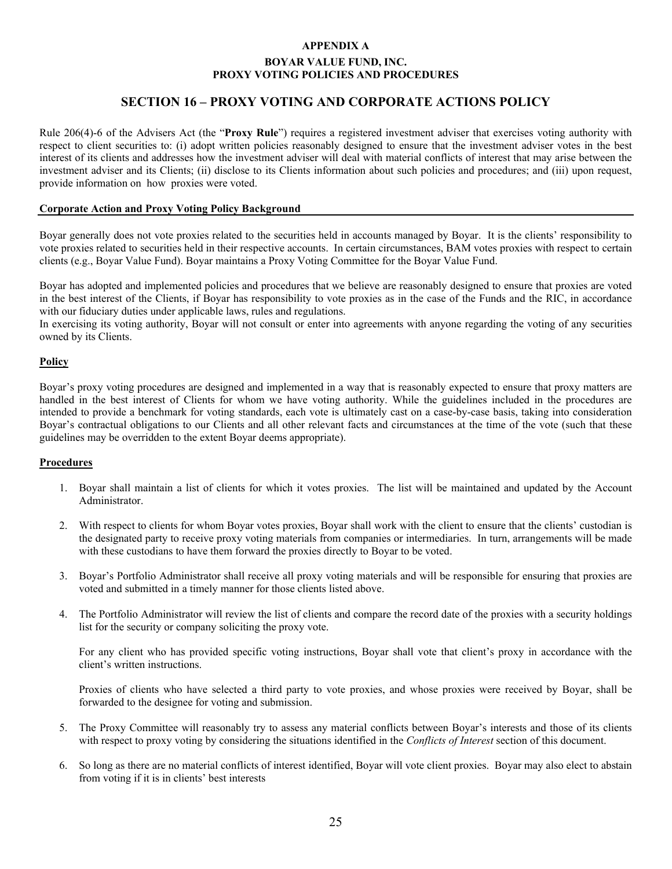# **APPENDIX A BOYAR VALUE FUND, INC. PROXY VOTING POLICIES AND PROCEDURES**

# **SECTION 16 – PROXY VOTING AND CORPORATE ACTIONS POLICY**

Rule 206(4)-6 of the Advisers Act (the "**Proxy Rule**") requires a registered investment adviser that exercises voting authority with respect to client securities to: (i) adopt written policies reasonably designed to ensure that the investment adviser votes in the best interest of its clients and addresses how the investment adviser will deal with material conflicts of interest that may arise between the investment adviser and its Clients; (ii) disclose to its Clients information about such policies and procedures; and (iii) upon request, provide information on how proxies were voted.

#### **Corporate Action and Proxy Voting Policy Background**

Boyar generally does not vote proxies related to the securities held in accounts managed by Boyar. It is the clients' responsibility to vote proxies related to securities held in their respective accounts. In certain circumstances, BAM votes proxies with respect to certain clients (e.g., Boyar Value Fund). Boyar maintains a Proxy Voting Committee for the Boyar Value Fund.

Boyar has adopted and implemented policies and procedures that we believe are reasonably designed to ensure that proxies are voted in the best interest of the Clients, if Boyar has responsibility to vote proxies as in the case of the Funds and the RIC, in accordance with our fiduciary duties under applicable laws, rules and regulations.

In exercising its voting authority, Boyar will not consult or enter into agreements with anyone regarding the voting of any securities owned by its Clients.

#### **Policy**

Boyar's proxy voting procedures are designed and implemented in a way that is reasonably expected to ensure that proxy matters are handled in the best interest of Clients for whom we have voting authority. While the guidelines included in the procedures are intended to provide a benchmark for voting standards, each vote is ultimately cast on a case-by-case basis, taking into consideration Boyar's contractual obligations to our Clients and all other relevant facts and circumstances at the time of the vote (such that these guidelines may be overridden to the extent Boyar deems appropriate).

#### **Procedures**

- 1. Boyar shall maintain a list of clients for which it votes proxies. The list will be maintained and updated by the Account Administrator.
- 2. With respect to clients for whom Boyar votes proxies, Boyar shall work with the client to ensure that the clients' custodian is the designated party to receive proxy voting materials from companies or intermediaries. In turn, arrangements will be made with these custodians to have them forward the proxies directly to Boyar to be voted.
- 3. Boyar's Portfolio Administrator shall receive all proxy voting materials and will be responsible for ensuring that proxies are voted and submitted in a timely manner for those clients listed above.
- 4. The Portfolio Administrator will review the list of clients and compare the record date of the proxies with a security holdings list for the security or company soliciting the proxy vote.

For any client who has provided specific voting instructions, Boyar shall vote that client's proxy in accordance with the client's written instructions.

Proxies of clients who have selected a third party to vote proxies, and whose proxies were received by Boyar, shall be forwarded to the designee for voting and submission.

- 5. The Proxy Committee will reasonably try to assess any material conflicts between Boyar's interests and those of its clients with respect to proxy voting by considering the situations identified in the *Conflicts of Interest* section of this document.
- 6. So long as there are no material conflicts of interest identified, Boyar will vote client proxies. Boyar may also elect to abstain from voting if it is in clients' best interests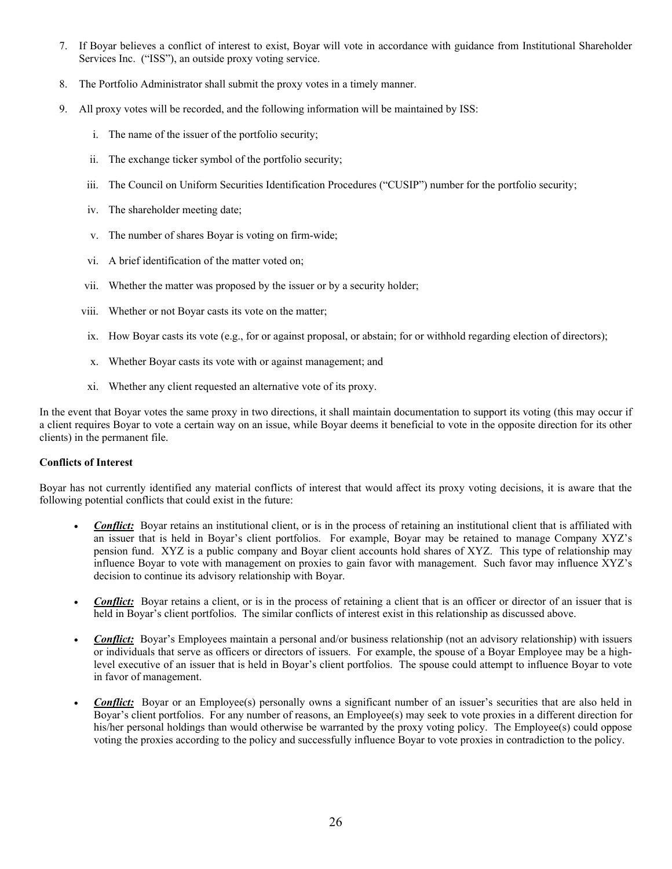- 7. If Boyar believes a conflict of interest to exist, Boyar will vote in accordance with guidance from Institutional Shareholder Services Inc. ("ISS"), an outside proxy voting service.
- 8. The Portfolio Administrator shall submit the proxy votes in a timely manner.
- 9. All proxy votes will be recorded, and the following information will be maintained by ISS:
	- i. The name of the issuer of the portfolio security;
	- ii. The exchange ticker symbol of the portfolio security;
	- iii. The Council on Uniform Securities Identification Procedures ("CUSIP") number for the portfolio security;
	- iv. The shareholder meeting date;
	- v. The number of shares Boyar is voting on firm-wide;
	- vi. A brief identification of the matter voted on;
	- vii. Whether the matter was proposed by the issuer or by a security holder;
	- viii. Whether or not Boyar casts its vote on the matter;
	- ix. How Boyar casts its vote (e.g., for or against proposal, or abstain; for or withhold regarding election of directors);
	- x. Whether Boyar casts its vote with or against management; and
	- xi. Whether any client requested an alternative vote of its proxy.

In the event that Boyar votes the same proxy in two directions, it shall maintain documentation to support its voting (this may occur if a client requires Boyar to vote a certain way on an issue, while Boyar deems it beneficial to vote in the opposite direction for its other clients) in the permanent file.

# **Conflicts of Interest**

Boyar has not currently identified any material conflicts of interest that would affect its proxy voting decisions, it is aware that the following potential conflicts that could exist in the future:

- **Conflict:** Boyar retains an institutional client, or is in the process of retaining an institutional client that is affiliated with an issuer that is held in Boyar's client portfolios. For example, Boyar may be retained to manage Company XYZ's pension fund. XYZ is a public company and Boyar client accounts hold shares of XYZ. This type of relationship may influence Boyar to vote with management on proxies to gain favor with management. Such favor may influence XYZ's decision to continue its advisory relationship with Boyar.
- **Conflict:** Boyar retains a client, or is in the process of retaining a client that is an officer or director of an issuer that is held in Boyar's client portfolios. The similar conflicts of interest exist in this relationship as discussed above.
- *Conflict:* Boyar's Employees maintain a personal and/or business relationship (not an advisory relationship) with issuers or individuals that serve as officers or directors of issuers. For example, the spouse of a Boyar Employee may be a highlevel executive of an issuer that is held in Boyar's client portfolios. The spouse could attempt to influence Boyar to vote in favor of management.
- **Conflict:** Boyar or an Employee(s) personally owns a significant number of an issuer's securities that are also held in Boyar's client portfolios. For any number of reasons, an Employee(s) may seek to vote proxies in a different direction for his/her personal holdings than would otherwise be warranted by the proxy voting policy. The Employee(s) could oppose voting the proxies according to the policy and successfully influence Boyar to vote proxies in contradiction to the policy.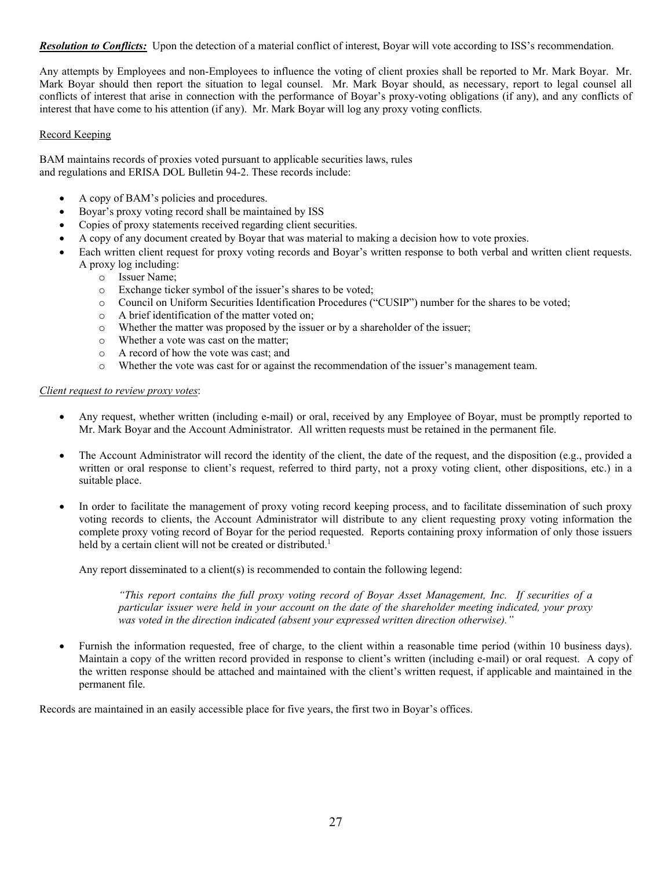*Resolution to Conflicts:* Upon the detection of a material conflict of interest, Boyar will vote according to ISS's recommendation.

Any attempts by Employees and non-Employees to influence the voting of client proxies shall be reported to Mr. Mark Boyar. Mr. Mark Boyar should then report the situation to legal counsel. Mr. Mark Boyar should, as necessary, report to legal counsel all conflicts of interest that arise in connection with the performance of Boyar's proxy-voting obligations (if any), and any conflicts of interest that have come to his attention (if any). Mr. Mark Boyar will log any proxy voting conflicts.

#### Record Keeping

BAM maintains records of proxies voted pursuant to applicable securities laws, rules and regulations and ERISA DOL Bulletin 94-2. These records include:

- A copy of BAM's policies and procedures.
- Boyar's proxy voting record shall be maintained by ISS
- Copies of proxy statements received regarding client securities.
- A copy of any document created by Boyar that was material to making a decision how to vote proxies.
- Each written client request for proxy voting records and Boyar's written response to both verbal and written client requests. A proxy log including:
	- o Issuer Name;
	- o Exchange ticker symbol of the issuer's shares to be voted;
	- o Council on Uniform Securities Identification Procedures ("CUSIP") number for the shares to be voted;
	- o A brief identification of the matter voted on;
	- o Whether the matter was proposed by the issuer or by a shareholder of the issuer;
	- o Whether a vote was cast on the matter;
	- o A record of how the vote was cast; and
	- o Whether the vote was cast for or against the recommendation of the issuer's management team.

#### *Client request to review proxy votes*:

- Any request, whether written (including e-mail) or oral, received by any Employee of Boyar, must be promptly reported to Mr. Mark Boyar and the Account Administrator. All written requests must be retained in the permanent file.
- The Account Administrator will record the identity of the client, the date of the request, and the disposition (e.g., provided a written or oral response to client's request, referred to third party, not a proxy voting client, other dispositions, etc.) in a suitable place.
- In order to facilitate the management of proxy voting record keeping process, and to facilitate dissemination of such proxy voting records to clients, the Account Administrator will distribute to any client requesting proxy voting information the complete proxy voting record of Boyar for the period requested. Reports containing proxy information of only those issuers held by a certain client will not be created or distributed.<sup>1</sup>

Any report disseminated to a client(s) is recommended to contain the following legend:

*"This report contains the full proxy voting record of Boyar Asset Management, Inc. If securities of a particular issuer were held in your account on the date of the shareholder meeting indicated, your proxy was voted in the direction indicated (absent your expressed written direction otherwise)."* 

 Furnish the information requested, free of charge, to the client within a reasonable time period (within 10 business days). Maintain a copy of the written record provided in response to client's written (including e-mail) or oral request. A copy of the written response should be attached and maintained with the client's written request, if applicable and maintained in the permanent file.

Records are maintained in an easily accessible place for five years, the first two in Boyar's offices.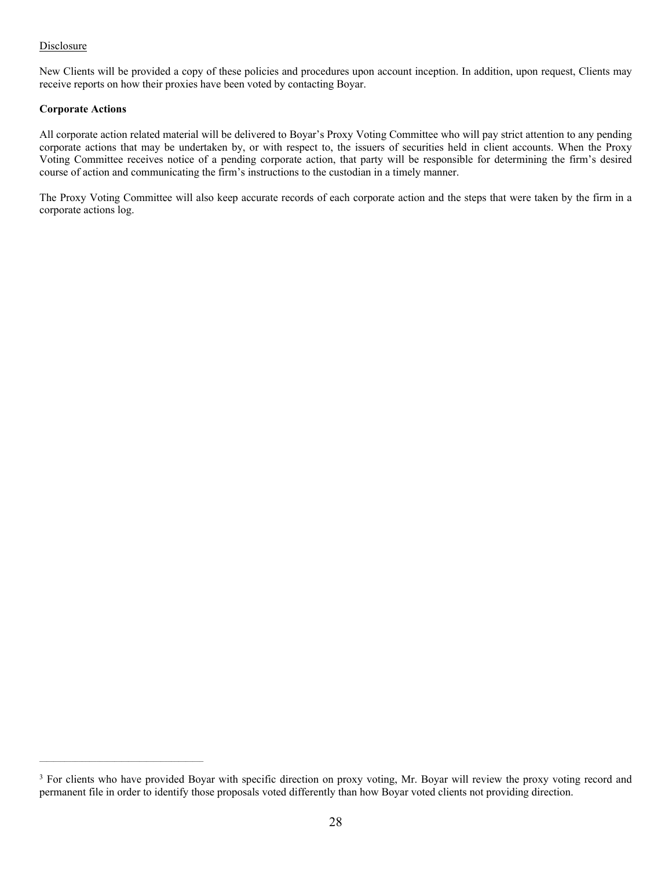# **Disclosure**

New Clients will be provided a copy of these policies and procedures upon account inception. In addition, upon request, Clients may receive reports on how their proxies have been voted by contacting Boyar.

# **Corporate Actions**

All corporate action related material will be delivered to Boyar's Proxy Voting Committee who will pay strict attention to any pending corporate actions that may be undertaken by, or with respect to, the issuers of securities held in client accounts. When the Proxy Voting Committee receives notice of a pending corporate action, that party will be responsible for determining the firm's desired course of action and communicating the firm's instructions to the custodian in a timely manner.

The Proxy Voting Committee will also keep accurate records of each corporate action and the steps that were taken by the firm in a corporate actions log.

<sup>&</sup>lt;sup>3</sup> For clients who have provided Boyar with specific direction on proxy voting, Mr. Boyar will review the proxy voting record and permanent file in order to identify those proposals voted differently than how Boyar voted clients not providing direction.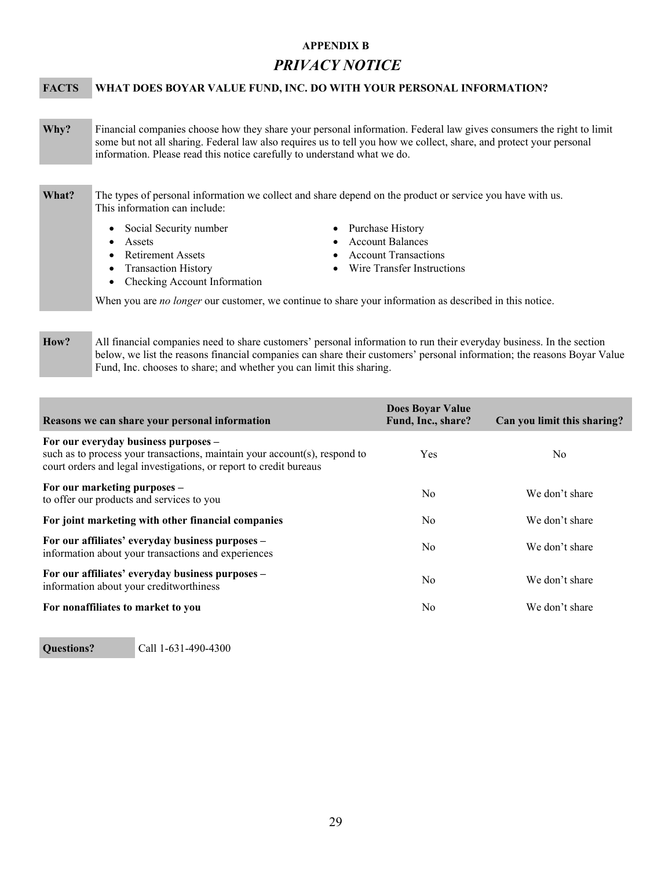# **APPENDIX B**

# *PRIVACY NOTICE*

# **FACTS WHAT DOES BOYAR VALUE FUND, INC. DO WITH YOUR PERSONAL INFORMATION?**

**Why?** Financial companies choose how they share your personal information. Federal law gives consumers the right to limit some but not all sharing. Federal law also requires us to tell you how we collect, share, and protect your personal information. Please read this notice carefully to understand what we do.

# **What?** The types of personal information we collect and share depend on the product or service you have with us. This information can include:

- Social Security number <br>
Purchase History
- 
- 
- Assets Account Balances
- Retirement Assets <br>
Account Transactions
- Transaction History **Wire Transfer Instructions**
- Checking Account Information
- When you are *no longer* our customer, we continue to share your information as described in this notice.

**How?** All financial companies need to share customers' personal information to run their everyday business. In the section below, we list the reasons financial companies can share their customers' personal information; the reasons Boyar Value Fund, Inc. chooses to share; and whether you can limit this sharing.

| Reasons we can share your personal information                                                                                                                                           | Does Boyar Value<br>Fund, Inc., share? | Can you limit this sharing? |
|------------------------------------------------------------------------------------------------------------------------------------------------------------------------------------------|----------------------------------------|-----------------------------|
| For our everyday business purposes –<br>such as to process your transactions, maintain your account(s), respond to<br>court orders and legal investigations, or report to credit bureaus | Yes                                    | No                          |
| For our marketing purposes –<br>to offer our products and services to you                                                                                                                | No                                     | We don't share              |
| For joint marketing with other financial companies                                                                                                                                       | N <sub>0</sub>                         | We don't share              |
| For our affiliates' everyday business purposes –<br>information about your transactions and experiences                                                                                  | No                                     | We don't share              |
| For our affiliates' everyday business purposes -<br>information about your creditworthiness                                                                                              | No                                     | We don't share              |
| For nonaffiliates to market to you                                                                                                                                                       | No                                     | We don't share              |

**Questions?** Call 1-631-490-4300